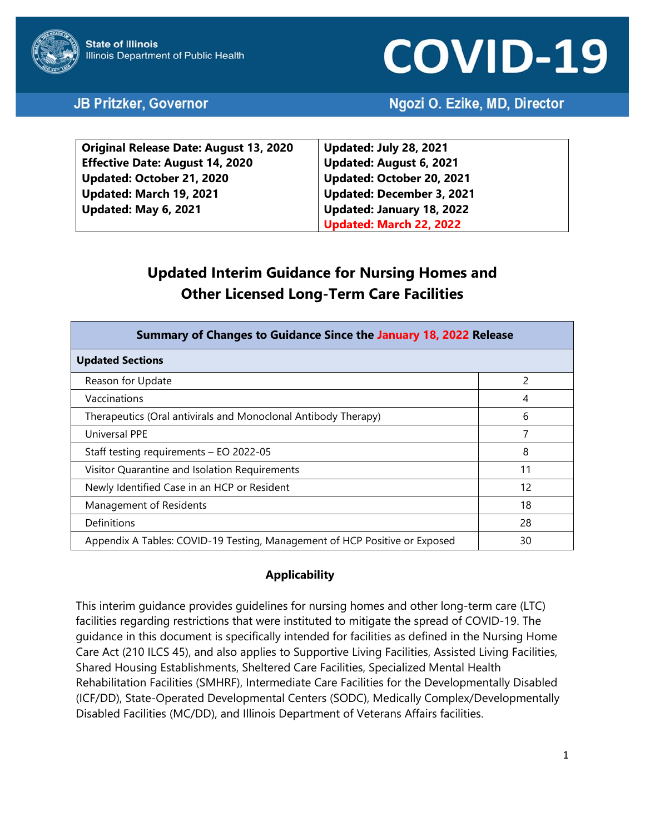# **COVID-19**

## JB Pritzker, Governor

## Ngozi O. Ezike, MD, Director

| <b>Original Release Date: August 13, 2020</b> | <b>Updated: July 28, 2021</b>    |
|-----------------------------------------------|----------------------------------|
| <b>Effective Date: August 14, 2020</b>        | Updated: August 6, 2021          |
| Updated: October 21, 2020                     | Updated: October 20, 2021        |
| Updated: March 19, 2021                       | <b>Updated: December 3, 2021</b> |
| Updated: May 6, 2021                          | Updated: January 18, 2022        |
|                                               | Updated: March 22, 2022          |

# **Updated Interim Guidance for Nursing Homes and Other Licensed Long-Term Care Facilities**

| Summary of Changes to Guidance Since the January 18, 2022 Release          |    |  |  |  |
|----------------------------------------------------------------------------|----|--|--|--|
| <b>Updated Sections</b>                                                    |    |  |  |  |
| Reason for Update                                                          | 2  |  |  |  |
| Vaccinations                                                               | 4  |  |  |  |
| Therapeutics (Oral antivirals and Monoclonal Antibody Therapy)             | 6  |  |  |  |
| <b>Universal PPE</b>                                                       | 7  |  |  |  |
| Staff testing requirements - EO 2022-05                                    | 8  |  |  |  |
| Visitor Quarantine and Isolation Requirements                              | 11 |  |  |  |
| Newly Identified Case in an HCP or Resident                                | 12 |  |  |  |
| Management of Residents                                                    | 18 |  |  |  |
| Definitions                                                                | 28 |  |  |  |
| Appendix A Tables: COVID-19 Testing, Management of HCP Positive or Exposed | 30 |  |  |  |

## **Applicability**

This interim guidance provides guidelines for nursing homes and other long-term care (LTC) facilities regarding restrictions that were instituted to mitigate the spread of COVID-19. The guidance in this document is specifically intended for facilities as defined in the Nursing Home Care Act (210 ILCS 45), and also applies to Supportive Living Facilities, Assisted Living Facilities, Shared Housing Establishments, Sheltered Care Facilities, Specialized Mental Health Rehabilitation Facilities (SMHRF), Intermediate Care Facilities for the Developmentally Disabled (ICF/DD), State-Operated Developmental Centers (SODC), Medically Complex/Developmentally Disabled Facilities (MC/DD), and Illinois Department of Veterans Affairs facilities.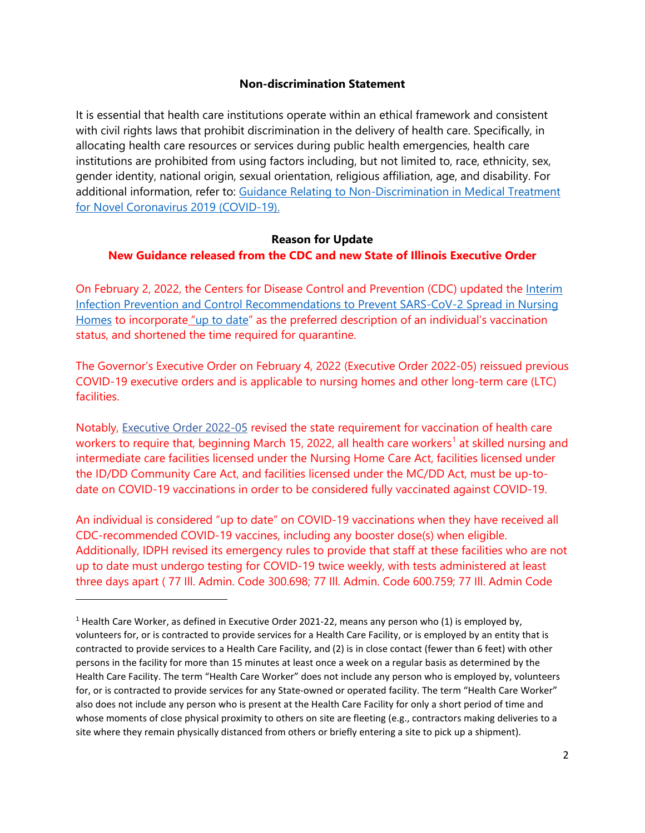#### **Non-discrimination Statement**

It is essential that health care institutions operate within an ethical framework and consistent with civil rights laws that prohibit discrimination in the delivery of health care. Specifically, in allocating health care resources or services during public health emergencies, health care institutions are prohibited from using factors including, but not limited to, race, ethnicity, sex, gender identity, national origin, sexual orientation, religious affiliation, age, and disability. For additional information, refer to: [Guidance Relating to Non-Discrimination in Medical Treatment](http://www.dph.illinois.gov/covid19/community-guidance/guidance-affirming-non-discrimination-medical-treatment)  [for Novel Coronavirus 2019 \(COVID-19\).](http://www.dph.illinois.gov/covid19/community-guidance/guidance-affirming-non-discrimination-medical-treatment)

#### **Reason for Update**

#### **New Guidance released from the CDC and new State of Illinois Executive Order**

On February 2, 2022, the Centers for Disease Control and Prevention (CDC) updated the Interim [Infection Prevention and Control Recommendations to Prevent SARS-CoV-2 Spread in Nursing](https://www.cdc.gov/coronavirus/2019-ncov/hcp/long-term-care.html)  [Homes](https://www.cdc.gov/coronavirus/2019-ncov/hcp/long-term-care.html) to incorporate ["up to date"](https://www.cdc.gov/coronavirus/2019-ncov/vaccines/stay-up-to-date.html) as the preferred description of an individual's vaccination status, and shortened the time required for quarantine.

The Governor's Executive Order on February 4, 2022 (Executive Order 2022-05) reissued previous COVID-19 executive orders and is applicable to nursing homes and other long-term care (LTC) facilities.

Notably, [Executive Order 2022-05](https://coronavirus.illinois.gov/resources/executive-orders/display.executive-order-number-05.2022.html) revised the state requirement for vaccination of health care workers to require that, beginning March [1](#page-1-0)5, 2022, all health care workers<sup>1</sup> at skilled nursing and intermediate care facilities licensed under the Nursing Home Care Act, facilities licensed under the ID/DD Community Care Act, and facilities licensed under the MC/DD Act, must be up-todate on COVID-19 vaccinations in order to be considered fully vaccinated against COVID-19.

An individual is considered "up to date" on COVID-19 vaccinations when they have received all CDC-recommended COVID-19 vaccines, including any booster dose(s) when eligible. Additionally, IDPH revised its emergency rules to provide that staff at these facilities who are not up to date must undergo testing for COVID-19 twice weekly, with tests administered at least three days apart ( 77 Ill. Admin. Code 300.698; 77 Ill. Admin. Code 600.759; 77 Ill. Admin Code

<span id="page-1-0"></span><sup>&</sup>lt;sup>1</sup> Health Care Worker, as defined in Executive Order 2021-22, means any person who (1) is employed by, volunteers for, or is contracted to provide services for a Health Care Facility, or is employed by an entity that is contracted to provide services to a Health Care Facility, and (2) is in close contact (fewer than 6 feet) with other persons in the facility for more than 15 minutes at least once a week on a regular basis as determined by the Health Care Facility. The term "Health Care Worker" does not include any person who is employed by, volunteers for, or is contracted to provide services for any State-owned or operated facility. The term "Health Care Worker" also does not include any person who is present at the Health Care Facility for only a short period of time and whose moments of close physical proximity to others on site are fleeting (e.g., contractors making deliveries to a site where they remain physically distanced from others or briefly entering a site to pick up a shipment).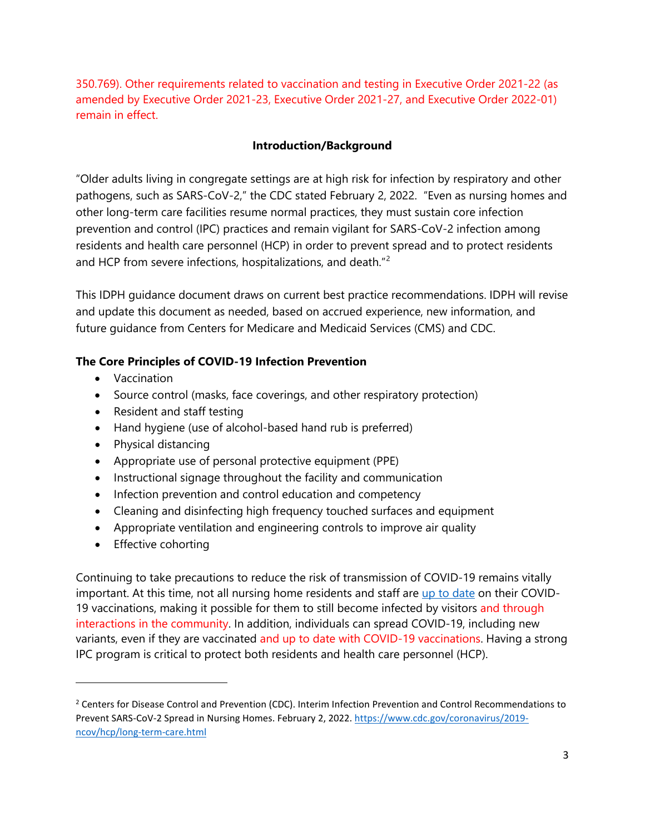350.769). Other requirements related to vaccination and testing in Executive Order 2021-22 (as amended by Executive Order 2021-23, Executive Order 2021-27, and Executive Order 2022-01) remain in effect.

## <span id="page-2-1"></span>**Introduction/Background**

"Older adults living in congregate settings are at high risk for infection by respiratory and other pathogens, such as SARS-CoV-2," the CDC stated February 2, 2022. "Even as nursing homes and other long-term care facilities resume normal practices, they must sustain core infection prevention and control (IPC) practices and remain vigilant for SARS-CoV-2 infection among residents and health care personnel (HCP) in order to prevent spread and to protect residents and HCP from severe infections, hospitalizations, and death."<sup>[2](#page-2-0)</sup>

This IDPH guidance document draws on current best practice recommendations. IDPH will revise and update this document as needed, based on accrued experience, new information, and future guidance from Centers for Medicare and Medicaid Services (CMS) and CDC.

## **The Core Principles of COVID-19 Infection Prevention**

- Vaccination
- Source control (masks, face coverings, and other respiratory protection)
- Resident and staff testing
- Hand hygiene (use of alcohol-based hand rub is preferred)
- Physical distancing
- Appropriate use of personal protective equipment (PPE)
- Instructional signage throughout the facility and communication
- Infection prevention and control education and competency
- Cleaning and disinfecting high frequency touched surfaces and equipment
- Appropriate ventilation and engineering controls to improve air quality
- Effective cohorting

Continuing to take precautions to reduce the risk of transmission of COVID-19 remains vitally important. At this time, not all nursing home residents and staff are [up to date](https://www.cdc.gov/coronavirus/2019-ncov/vaccines/stay-up-to-date.html) on their COVID-19 vaccinations, making it possible for them to still become infected by visitors and through interactions in the community. In addition, individuals can spread COVID-19, including new variants, even if they are vaccinated and up to date with COVID-19 vaccinations. Having a strong IPC program is critical to protect both residents and health care personnel (HCP).

<span id="page-2-0"></span><sup>&</sup>lt;sup>2</sup> Centers for Disease Control and Prevention (CDC). Interim Infection Prevention and Control Recommendations to Prevent SARS-CoV-2 Spread in Nursing Homes. February 2, 2022. [https://www.cdc.gov/coronavirus/2019](https://www.cdc.gov/coronavirus/2019-ncov/hcp/long-term-care.html) [ncov/hcp/long-term-care.html](https://www.cdc.gov/coronavirus/2019-ncov/hcp/long-term-care.html)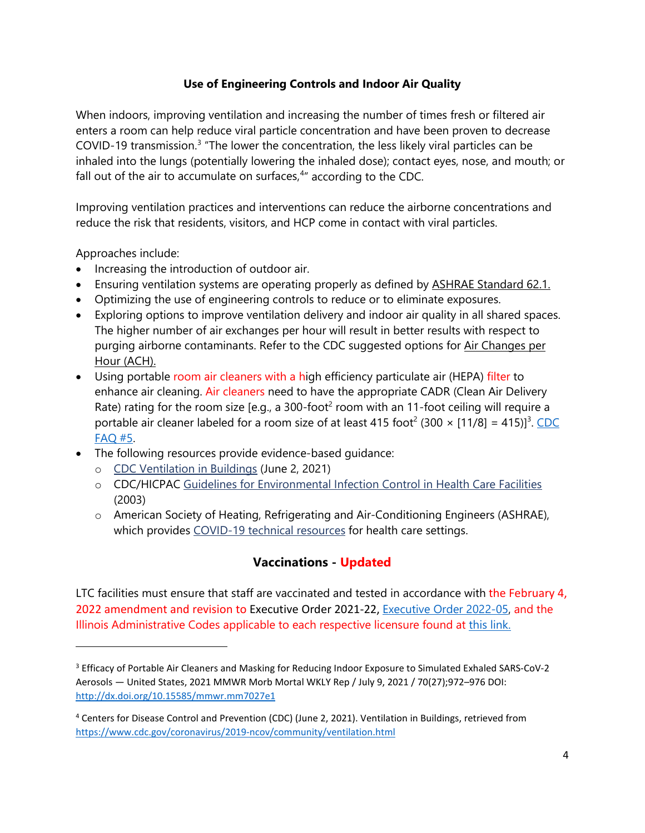## **Use of Engineering Controls and Indoor Air Quality**

When indoors, improving ventilation and increasing the number of times fresh or filtered air enters a room can help reduce viral particle concentration and have been proven to decrease COVID-19 transmission.<sup>[3](#page-3-0)</sup> "The lower the concentration, the less likely viral particles can be inhaled into the lungs (potentially lowering the inhaled dose); contact eyes, nose, and mouth; or fall out of the air to accumulate on surfaces,<sup>[4](#page-3-1)</sup>" according to the CDC.

Improving ventilation practices and interventions can reduce the airborne concentrations and reduce the risk that residents, visitors, and HCP come in contact with viral particles.

Approaches include:

- Increasing the introduction of outdoor air.
- Ensuring ventilation systems are operating properly as defined by **[ASHRAE Standard 62.1.](https://www.ashrae.org/technical-resources/ashrae-standards-and-guidelines)**
- Optimizing the use of engineering controls to reduce or to eliminate exposures.
- Exploring options to improve ventilation delivery and indoor air quality in all shared spaces. The higher number of air exchanges per hour will result in better results with respect to purging airborne contaminants. Refer to the CDC suggested options for Air Changes per [Hour \(ACH\).](https://www.cdc.gov/infectioncontrol/guidelines/environmental/appendix/air.html#tableb1)
- Using portable room air cleaners with a high efficiency particulate air (HEPA) filter to enhance air cleaning. Air cleaners need to have the appropriate CADR (Clean Air Delivery Rate) rating for the room size [e.g., a 300-foot<sup>2</sup> room with an 11-foot ceiling will require a portable air cleaner labeled for a room size of at least 415 foot<sup>2</sup> (300  $\times$  [11/8] = 415)]<sup>3</sup>. CDC [FAQ #5.](https://www.cdc.gov/coronavirus/2019-ncov/community/ventilation.html)
- The following resources provide evidence-based guidance:
	- o [CDC Ventilation in Buildings](https://www.cdc.gov/coronavirus/2019-ncov/community/ventilation.html) (June 2, 2021)
	- o CDC/HICPAC [Guidelines for Environmental Infection Control in Health](https://www.cdc.gov/infectioncontrol/guidelines/environmental/background/air.html) Care Facilities (2003)
	- o American Society of Heating, Refrigerating and Air-Conditioning Engineers (ASHRAE), which provides [COVID-19 technical resources](https://www.ashrae.org/file%20library/technical%20resources/ashrae%20journal/2020journaldocuments/72-74_ieq_schoen.pdf) for health care settings.

## **Vaccinations - Updated**

LTC facilities must ensure that staff are vaccinated and tested in accordance with the February 4, 2022 amendment and revision to Executive Order 2021-22, [Executive Order 2022-05,](https://coronavirus.illinois.gov/resources/executive-orders/display.executive-order-number-05.2022.html) and the Illinois Administrative Codes applicable to each respective licensure found at [this link.](https://www.ilga.gov/commission/jcar/admincode/077/077parts.html) 

<span id="page-3-0"></span><sup>3</sup> Efficacy of Portable Air Cleaners and Masking for Reducing Indoor Exposure to Simulated Exhaled SARS-CoV-2 Aerosols — United States, 2021 MMWR Morb Mortal WKLY Rep / July 9, 2021 / 70(27);972–976 DOI: <http://dx.doi.org/10.15585/mmwr.mm7027e1>

<span id="page-3-1"></span><sup>4</sup> Centers for Disease Control and Prevention (CDC) (June 2, 2021). Ventilation in Buildings, retrieved from <https://www.cdc.gov/coronavirus/2019-ncov/community/ventilation.html>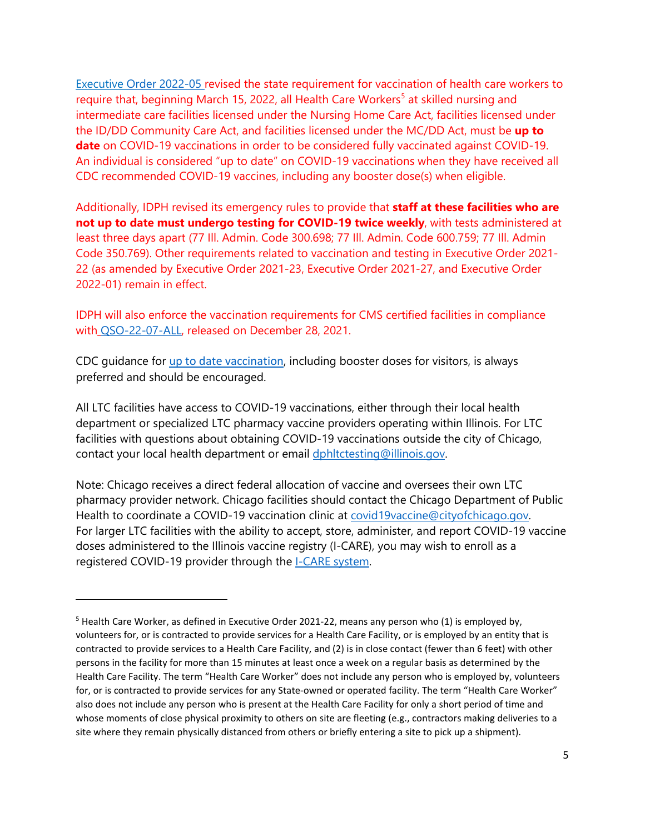[Executive Order 2022-05](https://coronavirus.illinois.gov/resources/executive-orders/display.executive-order-number-05.2022.html) revised the state requirement for vaccination of health care workers to require that, beginning March 1[5](#page-4-0), 2022, all Health Care Workers<sup>5</sup> at skilled nursing and intermediate care facilities licensed under the Nursing Home Care Act, facilities licensed under the ID/DD Community Care Act, and facilities licensed under the MC/DD Act, must be **up to date** on COVID-19 vaccinations in order to be considered fully vaccinated against COVID-19. An individual is considered "up to date" on COVID-19 vaccinations when they have received all CDC recommended COVID-19 vaccines, including any booster dose(s) when eligible.

Additionally, IDPH revised its emergency rules to provide that **staff at these facilities who are not up to date must undergo testing for COVID-19 twice weekly**, with tests administered at least three days apart (77 Ill. Admin. Code 300.698; 77 Ill. Admin. Code 600.759; 77 Ill. Admin Code 350.769). Other requirements related to vaccination and testing in Executive Order 2021- 22 (as amended by Executive Order 2021-23, Executive Order 2021-27, and Executive Order 2022-01) remain in effect.

IDPH will also enforce the vaccination requirements for CMS certified facilities in compliance with [QSO-22-07-ALL,](https://www.cms.gov/files/document/qso-22-07-all.pdf) released on December 28, 2021.

CDC guidance for [up to date vaccination](https://www.cdc.gov/coronavirus/2019-ncov/vaccines/stay-up-to-date.html), including booster doses for visitors, is always preferred and should be encouraged.

All LTC facilities have access to COVID-19 vaccinations, either through their local health department or specialized LTC pharmacy vaccine providers operating within Illinois. For LTC facilities with questions about obtaining COVID-19 vaccinations outside the city of Chicago, contact your local health department or email [dphltctesting@illinois.gov.](mailto:dphltctesting@illinois.gov)

Note: Chicago receives a direct federal allocation of vaccine and oversees their own LTC pharmacy provider network. Chicago facilities should contact the Chicago Department of Public Health to coordinate a COVID-19 vaccination clinic at [covid19vaccine@cityofchicago.gov.](mailto:covid19vaccine@cityofchicago.gov) For larger LTC facilities with the ability to accept, store, administer, and report COVID-19 vaccine doses administered to the Illinois vaccine registry (I-CARE), you may wish to enroll as a registered COVID-19 provider through the **I-CARE** system.

<span id="page-4-0"></span><sup>&</sup>lt;sup>5</sup> Health Care Worker, as defined in Executive Order 2021-22, means any person who (1) is employed by, volunteers for, or is contracted to provide services for a Health Care Facility, or is employed by an entity that is contracted to provide services to a Health Care Facility, and (2) is in close contact (fewer than 6 feet) with other persons in the facility for more than 15 minutes at least once a week on a regular basis as determined by the Health Care Facility. The term "Health Care Worker" does not include any person who is employed by, volunteers for, or is contracted to provide services for any State-owned or operated facility. The term "Health Care Worker" also does not include any person who is present at the Health Care Facility for only a short period of time and whose moments of close physical proximity to others on site are fleeting (e.g., contractors making deliveries to a site where they remain physically distanced from others or briefly entering a site to pick up a shipment).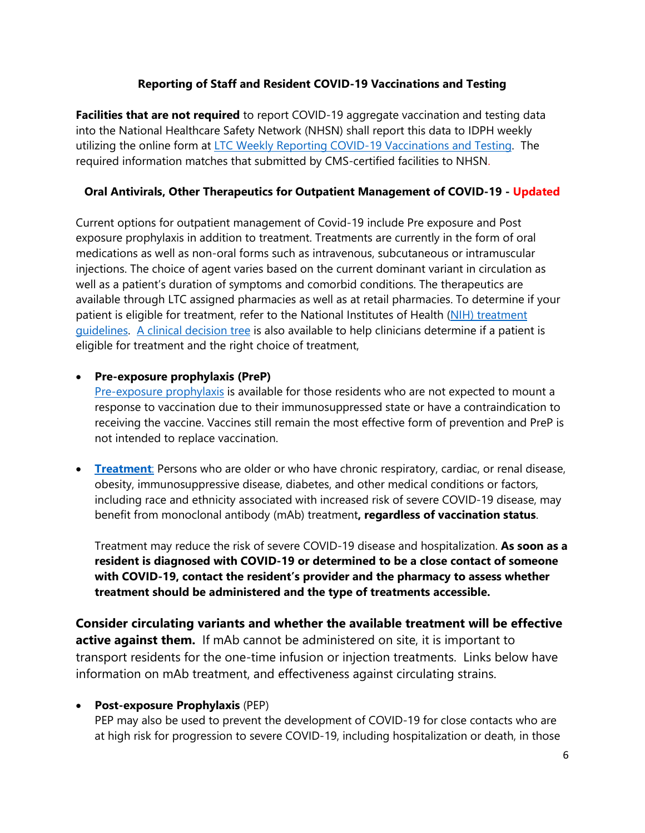## **Reporting of Staff and Resident COVID-19 Vaccinations and Testing**

**Facilities that are not required** to report COVID-19 aggregate vaccination and testing data into the National Healthcare Safety Network (NHSN) shall report this data to IDPH weekly utilizing the online form at [LTC Weekly Reporting COVID-19 Vaccinations and Testing.](https://app.smartsheet.com/b/form/fa2d7abfb102490b9d2622a2ba490744) The required information matches that submitted by CMS-certified facilities to NHSN.

## **Oral Antivirals, Other Therapeutics for Outpatient Management of COVID-19 - Updated**

Current options for outpatient management of Covid-19 include Pre exposure and Post exposure prophylaxis in addition to treatment. Treatments are currently in the form of oral medications as well as non-oral forms such as intravenous, subcutaneous or intramuscular injections. The choice of agent varies based on the current dominant variant in circulation as well as a patient's duration of symptoms and comorbid conditions. The therapeutics are available through LTC assigned pharmacies as well as at retail pharmacies. To determine if your patient is eligible for treatment, refer to the National Institutes of Health (NIH) treatment [guidelines.](https://www.covid19treatmentguidelines.nih.gov/about-the-guidelines/whats-new/) [A clinical decision tree](https://www.phe.gov/emergency/events/COVID19/therapeutics/Documents/COVID-Therapeutics-Decision-Aid.pdf) is also available to help clinicians determine if a patient is eligible for treatment and the right choice of treatment,

## • **Pre-exposure prophylaxis (PreP)**

[Pre-exposure prophylaxis](https://www.covid19treatmentguidelines.nih.gov/overview/prevention-of-sars-cov-2/) is available for those residents who are not expected to mount a response to vaccination due to their immunosuppressed state or have a contraindication to receiving the vaccine. Vaccines still remain the most effective form of prevention and PreP is not intended to replace vaccination.

• **[Treatment](https://www.phe.gov/emergency/events/COVID19/therapeutics/Documents/COVID-Therapeutics-Decision-Aid.pdf)**: Persons who are older or who have chronic respiratory, cardiac, or renal disease, obesity, immunosuppressive disease, diabetes, and other medical conditions or factors, including race and ethnicity associated with increased risk of severe COVID-19 disease, may benefit from monoclonal antibody (mAb) treatment**, regardless of vaccination status**.

Treatment may reduce the risk of severe COVID-19 disease and hospitalization. **As soon as a resident is diagnosed with COVID-19 or determined to be a close contact of someone with COVID-19, contact the resident's provider and the pharmacy to assess whether treatment should be administered and the type of treatments accessible.** 

**Consider circulating variants and whether the available treatment will be effective active against them.** If mAb cannot be administered on site, it is important to transport residents for the one-time infusion or injection treatments. Links below have information on mAb treatment, and effectiveness against circulating strains.

## • **Post-exposure Prophylaxis** (PEP)

PEP may also be used to prevent the development of COVID-19 for close contacts who are at high risk for progression to severe COVID-19, including hospitalization or death, in those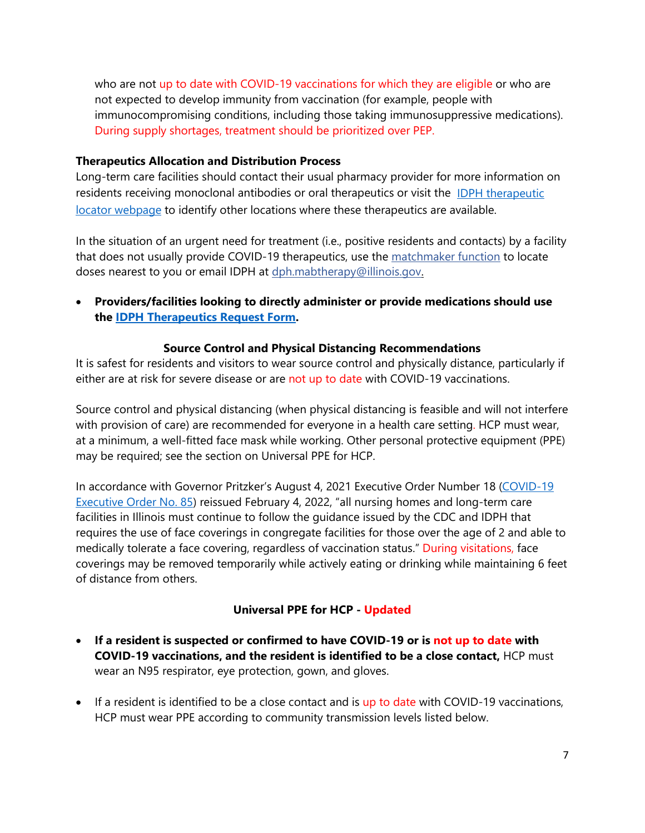who are not up to date with COVID-19 vaccinations for which they are eligible or who are not expected to develop immunity from vaccination (for example, people with immunocompromising conditions, including those taking immunosuppressive medications). During supply shortages, treatment should be prioritized over PEP.

#### **Therapeutics Allocation and Distribution Process**

Long-term care facilities should contact their usual pharmacy provider for more information on residents receiving monoclonal antibodies or oral therapeutics or visit the [IDPH therapeutic](https://dph.illinois.gov/covid19/covid-19-outpatient-therapy-locator.html)  [locator webpage](https://dph.illinois.gov/covid19/covid-19-outpatient-therapy-locator.html) to identify other locations where these therapeutics are available.

In the situation of an urgent need for treatment (i.e., positive residents and contacts) by a facility that does not usually provide COVID-19 therapeutics, use the [matchmaker function](https://app.smartsheet.com/b/publish?EQBCT=627f489ea91e49e682f6ebc7d976ed21) to locate doses nearest to you or email IDPH at [dph.mabtherapy@illinois.gov.](mailto:dph.mabtherapy@illinois.gov)

• **Providers/facilities looking to directly administer or provide medications should use the [IDPH Therapeutics Request Form.](https://app.smartsheet.com/b/form/8238e9e2bb744c3d97f846260c4b02c1)**

#### **Source Control and Physical Distancing Recommendations**

It is safest for residents and visitors to wear source control and physically distance, particularly if either are at risk for severe disease or are not up to date with COVID-19 vaccinations.

Source control and physical distancing (when physical distancing is feasible and will not interfere with provision of care) are recommended for everyone in a health care setting. HCP must wear, at a minimum, a well-fitted face mask while working. Other personal protective equipment (PPE) may be required; see the section on Universal PPE for HCP.

In accordance with Governor Pritzker's August 4, 2021 Executive Order Number 18 [\(COVID-19](https://www.illinois.gov/government/executive-orders/executive-order.executive-order-number-18.2021.html)  [Executive Order No. 85\)](https://www.illinois.gov/government/executive-orders/executive-order.executive-order-number-18.2021.html) reissued February 4, 2022, "all nursing homes and long-term care facilities in Illinois must continue to follow the guidance issued by the CDC and IDPH that requires the use of face coverings in congregate facilities for those over the age of 2 and able to medically tolerate a face covering, regardless of vaccination status." During visitations, face coverings may be removed temporarily while actively eating or drinking while maintaining 6 feet of distance from others.

#### **Universal PPE for HCP - Updated**

- **If a resident is suspected or confirmed to have COVID-19 or is not up to date with COVID-19 vaccinations, and the resident is identified to be a close contact,** HCP must wear an N95 respirator, eye protection, gown, and gloves.
- If a resident is identified to be a close contact and is up to date with COVID-19 vaccinations, HCP must wear PPE according to community transmission levels listed below.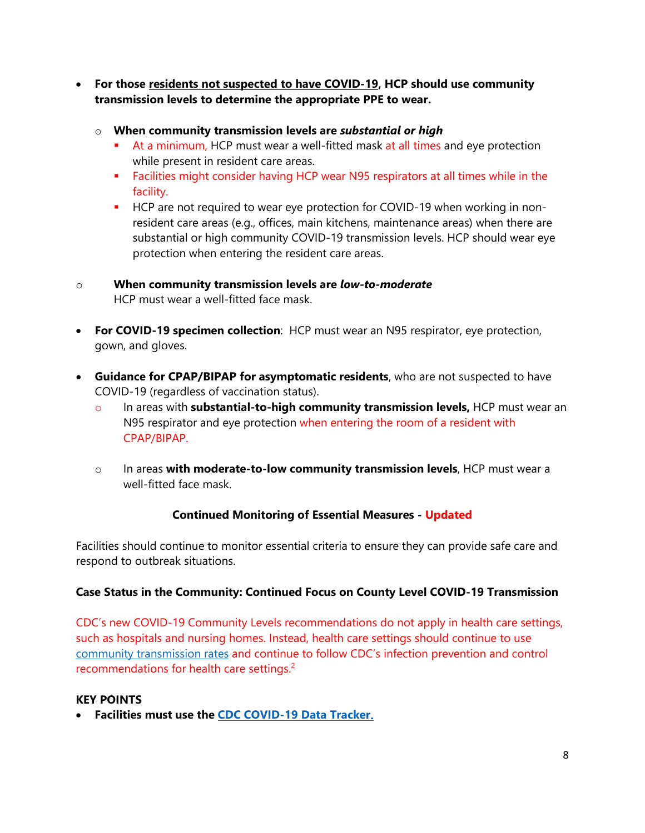- **For those residents not suspected to have COVID-19, HCP should use community transmission levels to determine the appropriate PPE to wear.**
	- o **When community transmission levels are** *substantial or high*
		- At a minimum, HCP must wear a well-fitted mask at all times and eye protection while present in resident care areas.
		- **Facilities might consider having HCP wear N95 respirators at all times while in the** facility.
		- **HCP** are not required to wear eye protection for COVID-19 when working in nonresident care areas (e.g., offices, main kitchens, maintenance areas) when there are substantial or high community COVID-19 transmission levels. HCP should wear eye protection when entering the resident care areas.
- o **When community transmission levels are** *low-to-moderate* HCP must wear a well-fitted face mask.
- **For COVID-19 specimen collection**: HCP must wear an N95 respirator, eye protection, gown, and gloves.
- **Guidance for CPAP/BIPAP for asymptomatic residents**, who are not suspected to have COVID-19 (regardless of vaccination status).
	- o In areas with **substantial-to-high community transmission levels,** HCP must wear an N95 respirator and eye protection when entering the room of a resident with CPAP/BIPAP.
	- o In areas **with moderate-to-low community transmission levels**, HCP must wear a well-fitted face mask.

## **Continued Monitoring of Essential Measures - Updated**

Facilities should continue to monitor essential criteria to ensure they can provide safe care and respond to outbreak situations.

## **Case Status in the Community: Continued Focus on County Level COVID-19 Transmission**

CDC's new COVID-19 Community Levels recommendations do not apply in health care settings, such as hospitals and nursing homes. Instead, health care settings should continue to use [community transmission rates](https://covid.cdc.gov/covid-data-tracker/#county-view?list_select_state=all_states&list_select_county=all_counties&data-type=Risk) and continue to follow CDC's infection prevention and control recommendations for health care settings.<sup>2</sup>

## **KEY POINTS**

• **Facilities must use the [CDC COVID-19 Data Tracker.](https://covid.cdc.gov/covid-data-tracker/#datatracker-home)**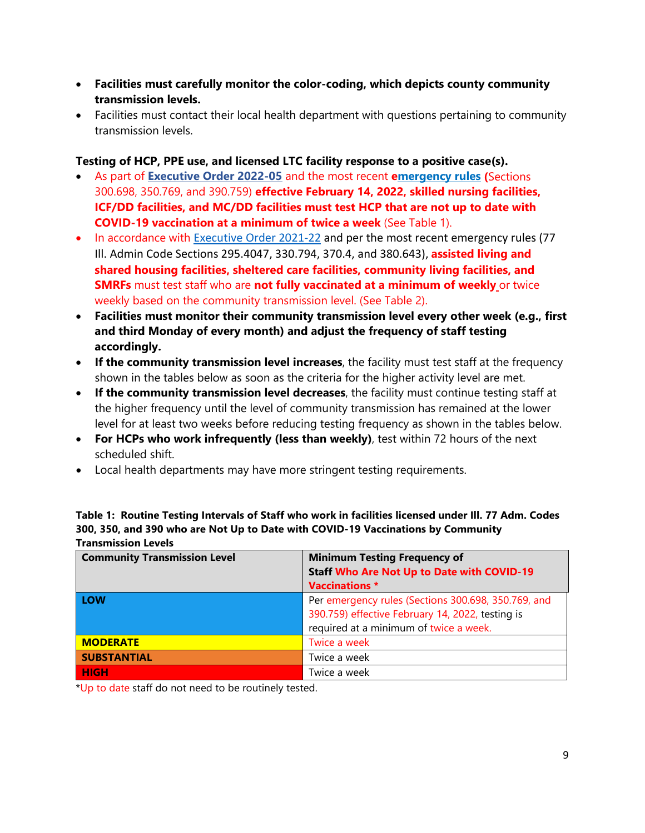- **Facilities must carefully monitor the color-coding, which depicts county community transmission levels.**
- Facilities must contact their local health department with questions pertaining to community transmission levels.

## **Testing of HCP, PPE use, and licensed LTC facility response to a positive case(s).**

- As part of **[Executive Order 2022-05](https://coronavirus.illinois.gov/resources/executive-orders/display.executive-order-number-05.2022.html)** and the most recent **[emergency rules](https://ilsos.gov/departments/index/register/volume46/register_volume46_issue_9.pdf) (**Sections 300.698, 350.769, and 390.759) **effective February 14, 2022, skilled nursing facilities, ICF/DD facilities, and MC/DD facilities must test HCP that are not up to date with COVID-19 vaccination at a minimum of twice a week** (See Table 1).
- In accordance with [Executive Order 2021-22](https://coronavirus.illinois.gov/resources/executive-orders/display.executive-order-number-22.2021.html) and per the most recent emergency rules (77 Ill. Admin Code Sections 295.4047, 330.794, 370.4, and 380.643), **assisted living and shared housing facilities, sheltered care facilities, community living facilities, and SMRFs** must test staff who are **not fully vaccinated at a minimum of weekly** or twice weekly based on the community transmission level. (See Table 2).
- **Facilities must monitor their community transmission level every other week (e.g., first and third Monday of every month) and adjust the frequency of staff testing accordingly.**
- **If the community transmission level increases**, the facility must test staff at the frequency shown in the tables below as soon as the criteria for the higher activity level are met.
- **If the community transmission level decreases**, the facility must continue testing staff at the higher frequency until the level of community transmission has remained at the lower level for at least two weeks before reducing testing frequency as shown in the tables below.
- **For HCPs who work infrequently (less than weekly)**, test within 72 hours of the next scheduled shift.
- Local health departments may have more stringent testing requirements.

| <b>Transmission Levels</b>          |                                                                                                                                                   |  |  |  |  |
|-------------------------------------|---------------------------------------------------------------------------------------------------------------------------------------------------|--|--|--|--|
| <b>Community Transmission Level</b> | <b>Minimum Testing Frequency of</b><br><b>Staff Who Are Not Up to Date with COVID-19</b><br><b>Vaccinations *</b>                                 |  |  |  |  |
| LOW                                 | Per emergency rules (Sections 300.698, 350.769, and<br>390.759) effective February 14, 2022, testing is<br>required at a minimum of twice a week. |  |  |  |  |
| <b>MODERATE</b>                     | Twice a week                                                                                                                                      |  |  |  |  |
| <b>SUBSTANTIAL</b>                  | Twice a week                                                                                                                                      |  |  |  |  |
| <b>HIGH</b>                         | Twice a week                                                                                                                                      |  |  |  |  |

**Table 1: Routine Testing Intervals of Staff who work in facilities licensed under Ill. 77 Adm. Codes 300, 350, and 390 who are Not Up to Date with COVID-19 Vaccinations by Community** 

\*Up to date staff do not need to be routinely tested.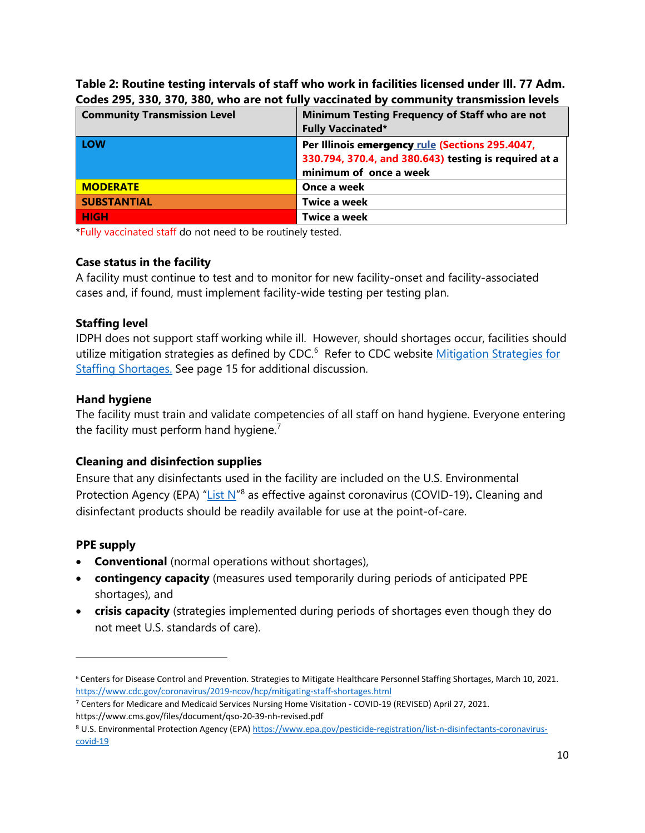| coucs 233, 330, 310, 300, who are not rang vaccinated by community transmission ievers |                                                       |  |  |
|----------------------------------------------------------------------------------------|-------------------------------------------------------|--|--|
| <b>Community Transmission Level</b>                                                    | Minimum Testing Frequency of Staff who are not        |  |  |
|                                                                                        | <b>Fully Vaccinated*</b>                              |  |  |
| LOW                                                                                    | Per Illinois emergency rule (Sections 295.4047,       |  |  |
|                                                                                        | 330.794, 370.4, and 380.643) testing is required at a |  |  |
|                                                                                        | minimum of once a week                                |  |  |
| <b>MODERATE</b>                                                                        | Once a week                                           |  |  |
| <b>SUBSTANTIAL</b>                                                                     | Twice a week                                          |  |  |
| <b>HIGH</b>                                                                            | <b>Twice a week</b>                                   |  |  |

**Table 2: Routine testing intervals of staff who work in facilities licensed under Ill. 77 Adm. Codes 295, 330, 370, 380, who are not fully vaccinated by community transmission levels**

\*Fully vaccinated staff do not need to be routinely tested.

#### **Case status in the facility**

A facility must continue to test and to monitor for new facility-onset and facility-associated cases and, if found, must implement facility-wide testing per testing plan.

#### **Staffing level**

IDPH does not support staff working while ill. However, should shortages occur, facilities should utilize mitigation strategies as defined by CDC.<sup>[6](#page-9-0)</sup> Refer to CDC website Mitigation Strategies for [Staffing Shortages.](https://www.cdc.gov/coronavirus/2019-ncov/hcp/mitigating-staff-shortages.html) See page 15 for additional discussion.

#### **Hand hygiene**

The facility must train and validate competencies of all staff on hand hygiene. Everyone entering the facility must perform hand hygiene.<sup>[7](#page-9-1)</sup>

#### **Cleaning and disinfection supplies**

Ensure that any disinfectants used in the facility are included on the U.S. Environmental Protection Agency (EPA) ["List N"](https://www.epa.gov/pesticide-registration/list-n-disinfectants-coronavirus-covid-19)[8](#page-9-2) as effective against coronavirus (COVID-19)**.** Cleaning and disinfectant products should be readily available for use at the point-of-care.

#### **PPE supply**

- **Conventional** (normal operations without shortages),
- **contingency capacity** (measures used temporarily during periods of anticipated PPE shortages), and
- **crisis capacity** (strategies implemented during periods of shortages even though they do not meet U.S. standards of care).

<span id="page-9-0"></span><sup>6</sup> Centers for Disease Control and Prevention. Strategies to Mitigate Healthcare Personnel Staffing Shortages, March 10, 2021. <https://www.cdc.gov/coronavirus/2019-ncov/hcp/mitigating-staff-shortages.html>

<span id="page-9-1"></span><sup>7</sup> Centers for Medicare and Medicaid Services Nursing Home Visitation - COVID-19 (REVISED) April 27, 2021. https://www.cms.gov/files/document/qso-20-39-nh-revised.pdf

<span id="page-9-2"></span><sup>8</sup> U.S. Environmental Protection Agency (EPA) [https://www.epa.gov/pesticide-registration/list-n-disinfectants-coronavirus](https://www.epa.gov/pesticide-registration/list-n-disinfectants-coronavirus-covid-19)[covid-19](https://www.epa.gov/pesticide-registration/list-n-disinfectants-coronavirus-covid-19)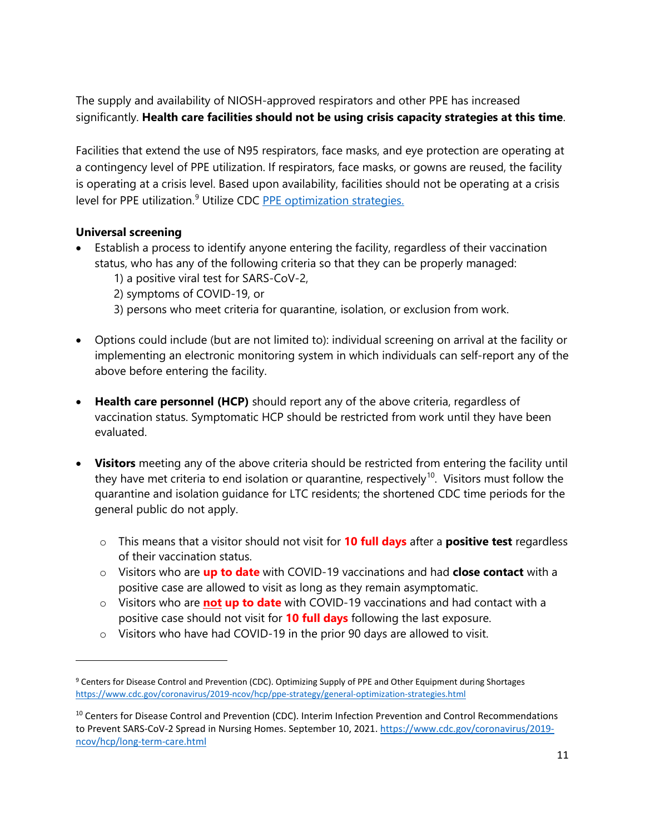The supply and availability of NIOSH-approved respirators and other PPE has increased significantly. **Health care facilities should not be using crisis capacity strategies at this time**.

Facilities that extend the use of N95 respirators, face masks, and eye protection are operating at a contingency level of PPE utilization. If respirators, face masks, or gowns are reused, the facility is operating at a crisis level. Based upon availability, facilities should not be operating at a crisis level for PPE utilization.<sup>[9](#page-10-0)</sup> Utilize CDC **[PPE optimization strategies.](https://www.cdc.gov/coronavirus/2019-ncov/hcp/ppe-strategy/general-optimization-strategies.html)** 

## **Universal screening**

- Establish a process to identify anyone entering the facility, regardless of their vaccination status, who has any of the following criteria so that they can be properly managed:
	- 1) a positive viral test for SARS-CoV-2,
	- 2) symptoms of COVID-19, or
	- 3) persons who meet criteria for quarantine, isolation, or exclusion from work.
- Options could include (but are not limited to): individual screening on arrival at the facility or implementing an electronic monitoring system in which individuals can self-report any of the above before entering the facility.
- **Health care personnel (HCP)** should report any of the above criteria, regardless of vaccination status. Symptomatic HCP should be restricted from work until they have been evaluated.
- **Visitors** meeting any of the above criteria should be restricted from entering the facility until they have met criteria to end isolation or quarantine, respectively<sup>10</sup>. Visitors must follow the quarantine and isolation guidance for LTC residents; the shortened CDC time periods for the general public do not apply.
	- o This means that a visitor should not visit for **10 full days** after a **positive test** regardless of their vaccination status.
	- o Visitors who are **up to date** with COVID-19 vaccinations and had **close contact** with a positive case are allowed to visit as long as they remain asymptomatic.
	- o Visitors who are **not up to date** with COVID-19 vaccinations and had contact with a positive case should not visit for **10 full days** following the last exposure.
	- o Visitors who have had COVID-19 in the prior 90 days are allowed to visit.

<span id="page-10-0"></span><sup>9</sup> Centers for Disease Control and Prevention (CDC). Optimizing Supply of PPE and Other Equipment during Shortages <https://www.cdc.gov/coronavirus/2019-ncov/hcp/ppe-strategy/general-optimization-strategies.html>

<span id="page-10-1"></span><sup>&</sup>lt;sup>10</sup> Centers for Disease Control and Prevention (CDC). Interim Infection Prevention and Control Recommendations to Prevent SARS-CoV-2 Spread in Nursing Homes. September 10, 2021. [https://www.cdc.gov/coronavirus/2019](https://www.cdc.gov/coronavirus/2019-ncov/hcp/long-term-care.html) [ncov/hcp/long-term-care.html](https://www.cdc.gov/coronavirus/2019-ncov/hcp/long-term-care.html)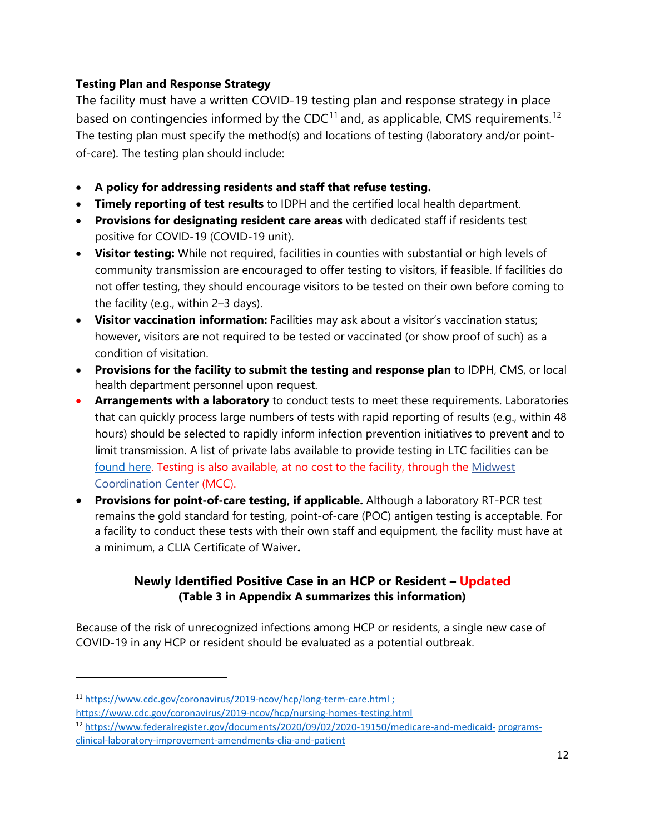## **Testing Plan and Response Strategy**

The facility must have a written COVID-19 testing plan and response strategy in place based on contingencies informed by the CDC $<sup>11</sup>$  $<sup>11</sup>$  $<sup>11</sup>$  and, as applicable, CMS requirements.<sup>[12](#page-11-1)</sup></sup> The testing plan must specify the method(s) and locations of testing (laboratory and/or pointof-care). The testing plan should include:

- **A policy for addressing residents and staff that refuse testing.**
- **Timely reporting of test results** to IDPH and the certified local health department.
- **Provisions for designating resident care areas** with dedicated staff if residents test positive for COVID-19 (COVID-19 unit).
- **Visitor testing:** While not required, facilities in counties with substantial or high levels of community transmission are encouraged to offer testing to visitors, if feasible. If facilities do not offer testing, they should encourage visitors to be tested on their own before coming to the facility (e.g., within 2–3 days).
- **Visitor vaccination information:** Facilities may ask about a visitor's vaccination status; however, visitors are not required to be tested or vaccinated (or show proof of such) as a condition of visitation.
- **Provisions for the facility to submit the testing and response plan** to IDPH, CMS, or local health department personnel upon request.
- **Arrangements with a laboratory** to conduct tests to meet these requirements. Laboratories that can quickly process large numbers of tests with rapid reporting of results (e.g., within 48 hours) should be selected to rapidly inform infection prevention initiatives to prevent and to limit transmission. A list of private labs available to provide testing in LTC facilities can be [found here.](https://dph.illinois.gov/covid19/community-guidance/long-term-care/ltc-private-laboratory-testing-options.html) Testing is also available, at no cost to the facility, through the [Midwest](https://www.testedandprotected.org/#/)  [Coordination Center](https://www.testedandprotected.org/#/) (MCC).
- **Provisions for point-of-care testing, if applicable.** Although a laboratory RT-PCR test remains the gold standard for testing, point-of-care (POC) antigen testing is acceptable. For a facility to conduct these tests with their own staff and equipment, the facility must have at a minimum, a CLIA Certificate of Waiver**.**

## **Newly Identified Positive Case in an HCP or Resident – Updated (Table 3 in Appendix A summarizes this information)**

Because of the risk of unrecognized infections among HCP or residents, a single new case of COVID-19 in any HCP or resident should be evaluated as a potential outbreak.

<span id="page-11-0"></span><sup>11</sup> <https://www.cdc.gov/coronavirus/2019-ncov/hcp/long-term-care.html> ;

<https://www.cdc.gov/coronavirus/2019-ncov/hcp/nursing-homes-testing.html>

<span id="page-11-1"></span><sup>12</sup> [https://www.federalregister.gov/documents/2020/09/02/2020-19150/medicare-and-medicaid-](https://www.federalregister.gov/documents/2020/09/02/2020-19150/medicare-and-medicaid-programs-clinical-laboratory-improvement-amendments-clia-and-patient) [programs](https://www.federalregister.gov/documents/2020/09/02/2020-19150/medicare-and-medicaid-programs-clinical-laboratory-improvement-amendments-clia-and-patient)[clinical-laboratory-improvement-amendments-clia-and-patient](https://www.federalregister.gov/documents/2020/09/02/2020-19150/medicare-and-medicaid-programs-clinical-laboratory-improvement-amendments-clia-and-patient)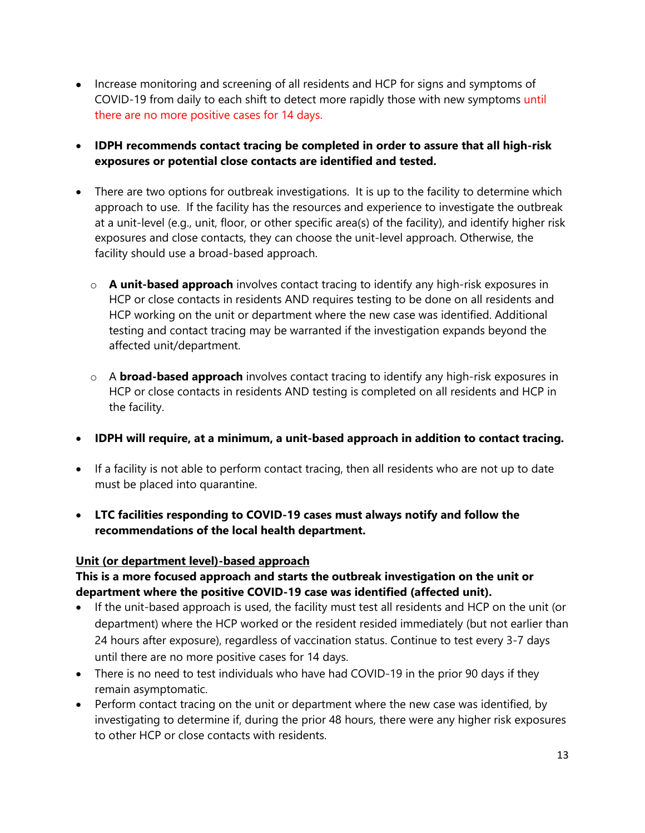- Increase monitoring and screening of all residents and HCP for signs and symptoms of COVID-19 from daily to each shift to detect more rapidly those with new symptoms until there are no more positive cases for 14 days.
- **IDPH recommends contact tracing be completed in order to assure that all high-risk exposures or potential close contacts are identified and tested.**
- There are two options for outbreak investigations. It is up to the facility to determine which approach to use. If the facility has the resources and experience to investigate the outbreak at a unit-level (e.g., unit, floor, or other specific area(s) of the facility), and identify higher risk exposures and close contacts, they can choose the unit-level approach. Otherwise, the facility should use a broad-based approach.
	- o **A unit-based approach** involves contact tracing to identify any high-risk exposures in HCP or close contacts in residents AND requires testing to be done on all residents and HCP working on the unit or department where the new case was identified. Additional testing and contact tracing may be warranted if the investigation expands beyond the affected unit/department.
	- o A **broad-based approach** involves contact tracing to identify any high-risk exposures in HCP or close contacts in residents AND testing is completed on all residents and HCP in the facility.
- **IDPH will require, at a minimum, a unit-based approach in addition to contact tracing.**
- If a facility is not able to perform contact tracing, then all residents who are not up to date must be placed into quarantine.
- **LTC facilities responding to COVID-19 cases must always notify and follow the recommendations of the local health department.**

## **Unit (or department level)-based approach**

## **This is a more focused approach and starts the outbreak investigation on the unit or department where the positive COVID-19 case was identified (affected unit).**

- If the unit-based approach is used, the facility must test all residents and HCP on the unit (or department) where the HCP worked or the resident resided immediately (but not earlier than 24 hours after exposure), regardless of vaccination status. Continue to test every 3-7 days until there are no more positive cases for 14 days.
- There is no need to test individuals who have had COVID-19 in the prior 90 days if they remain asymptomatic.
- Perform contact tracing on the unit or department where the new case was identified, by investigating to determine if, during the prior 48 hours, there were any higher risk exposures to other HCP or close contacts with residents.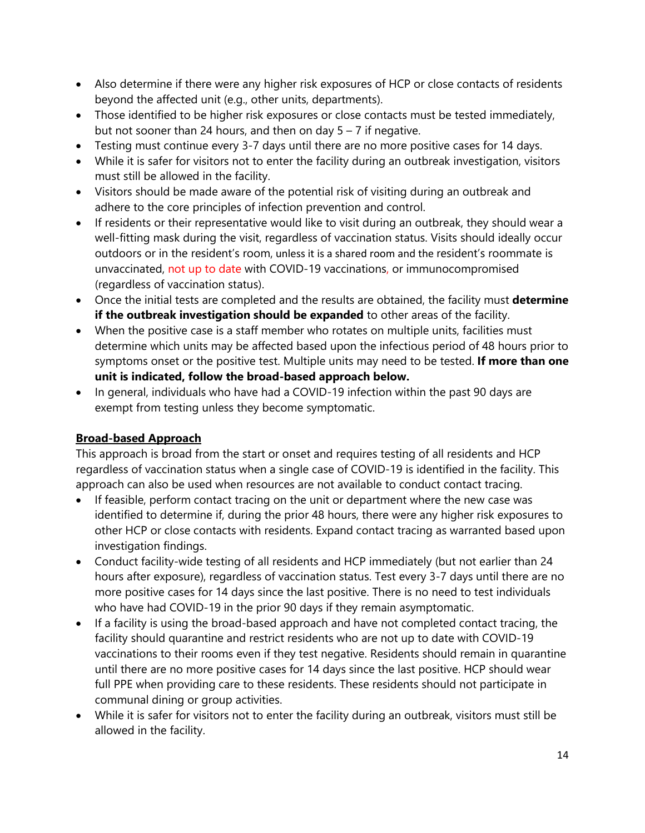- Also determine if there were any higher risk exposures of HCP or close contacts of residents beyond the affected unit (e.g., other units, departments).
- Those identified to be higher risk exposures or close contacts must be tested immediately, but not sooner than 24 hours, and then on day  $5 - 7$  if negative.
- Testing must continue every 3-7 days until there are no more positive cases for 14 days.
- While it is safer for visitors not to enter the facility during an outbreak investigation, visitors must still be allowed in the facility.
- Visitors should be made aware of the potential risk of visiting during an outbreak and adhere to the core principles of infection prevention and control.
- If residents or their representative would like to visit during an outbreak, they should wear a well-fitting mask during the visit, regardless of vaccination status. Visits should ideally occur outdoors or in the resident's room, unless it is a shared room and the resident's roommate is unvaccinated, not up to date with COVID-19 vaccinations, or immunocompromised (regardless of vaccination status).
- Once the initial tests are completed and the results are obtained, the facility must **determine if the outbreak investigation should be expanded** to other areas of the facility.
- When the positive case is a staff member who rotates on multiple units, facilities must determine which units may be affected based upon the infectious period of 48 hours prior to symptoms onset or the positive test. Multiple units may need to be tested. **If more than one unit is indicated, follow the broad-based approach below.**
- In general, individuals who have had a COVID-19 infection within the past 90 days are exempt from testing unless they become symptomatic.

## **Broad-based Approach**

This approach is broad from the start or onset and requires testing of all residents and HCP regardless of vaccination status when a single case of COVID-19 is identified in the facility. This approach can also be used when resources are not available to conduct contact tracing.

- If feasible, perform contact tracing on the unit or department where the new case was identified to determine if, during the prior 48 hours, there were any higher risk exposures to other HCP or close contacts with residents. Expand contact tracing as warranted based upon investigation findings.
- Conduct facility-wide testing of all residents and HCP immediately (but not earlier than 24 hours after exposure), regardless of vaccination status. Test every 3-7 days until there are no more positive cases for 14 days since the last positive. There is no need to test individuals who have had COVID-19 in the prior 90 days if they remain asymptomatic.
- If a facility is using the broad-based approach and have not completed contact tracing, the facility should quarantine and restrict residents who are not up to date with COVID-19 vaccinations to their rooms even if they test negative. Residents should remain in quarantine until there are no more positive cases for 14 days since the last positive. HCP should wear full PPE when providing care to these residents. These residents should not participate in communal dining or group activities.
- While it is safer for visitors not to enter the facility during an outbreak, visitors must still be allowed in the facility.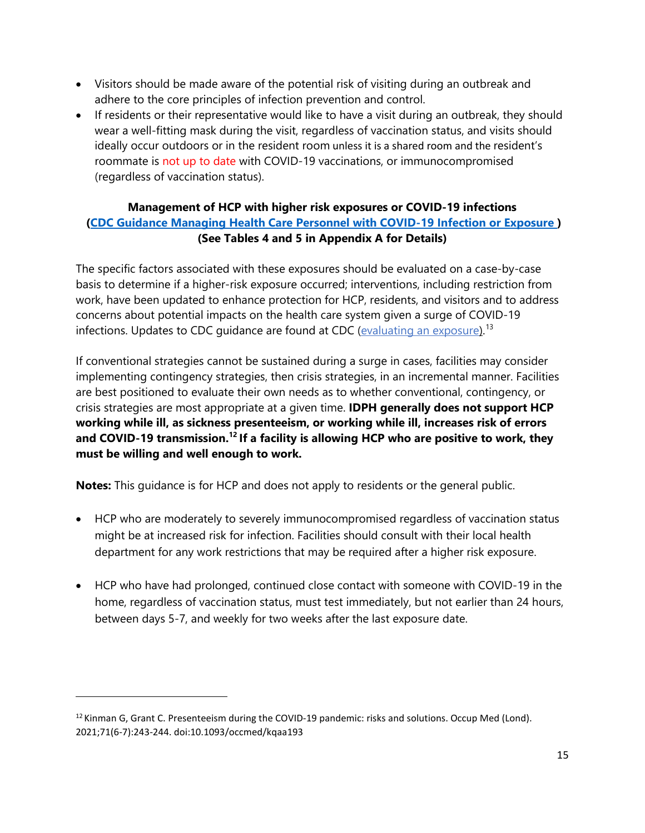- Visitors should be made aware of the potential risk of visiting during an outbreak and adhere to the core principles of infection prevention and control.
- If residents or their representative would like to have a visit during an outbreak, they should wear a well-fitting mask during the visit, regardless of vaccination status, and visits should ideally occur outdoors or in the resident room unless it is a shared room and the resident's roommate is not up to date with COVID-19 vaccinations, or immunocompromised (regardless of vaccination status).

## **Management of HCP with higher risk exposures or COVID-19 infections [\(CDC Guidance Managing Health Care Personnel with COVID-19 Infection or Exposure \)](https://www.cdc.gov/coronavirus/2019-ncov/hcp/guidance-risk-assesment-hcp.html#Immunocompromised) (See Tables 4 and 5 in Appendix A for Details)**

The specific factors associated with these exposures should be evaluated on a case-by-case basis to determine if a higher-risk exposure occurred; interventions, including restriction from work, have been updated to enhance protection for HCP, residents, and visitors and to address concerns about potential impacts on the health care system given a surge of COVID-19 infections. Updates to CDC guidance are found at CDC [\(evaluating an exposure\)](https://www.cdc.gov/coronavirus/2019-ncov/hcp/guidance-risk-assesment-hcp.html).<sup>13</sup>

If conventional strategies cannot be sustained during a surge in cases, facilities may consider implementing contingency strategies, then crisis strategies, in an incremental manner. Facilities are best positioned to evaluate their own needs as to whether conventional, contingency, or crisis strategies are most appropriate at a given time. **IDPH generally does not support HCP working while ill, as sickness presenteeism, or working while ill, increases risk of errors and COVID-19 transmission.<sup>12</sup> If a facility is allowing HCP who are positive to work, they must be willing and well enough to work.**

**Notes:** This guidance is for HCP and does not apply to residents or the general public.

- HCP who are moderately to severely immunocompromised regardless of vaccination status might be at increased risk for infection. Facilities should consult with their local health department for any work restrictions that may be required after a higher risk exposure.
- HCP who have had prolonged, continued close contact with someone with COVID-19 in the home, regardless of vaccination status, must test immediately, but not earlier than 24 hours, between days 5-7, and weekly for two weeks after the last exposure date.

<span id="page-14-0"></span> $12$  Kinman G, Grant C. Presenteeism during the COVID-19 pandemic: risks and solutions. Occup Med (Lond). 2021;71(6-7):243-244. doi:10.1093/occmed/kqaa193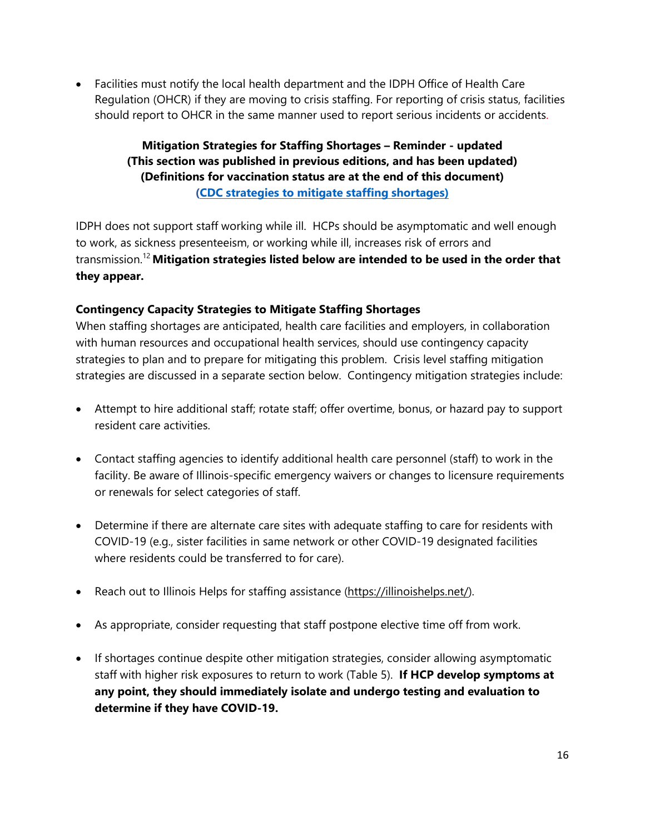• Facilities must notify the local health department and the IDPH Office of Health Care Regulation (OHCR) if they are moving to crisis staffing. For reporting of crisis status, facilities should report to OHCR in the same manner used to report serious incidents or accidents.

## **Mitigation Strategies for Staffing Shortages – Reminder - updated (This section was published in previous editions, and has been updated) (Definitions for vaccination status are at the end of this document) [\(CDC strategies to mitigate staffing shortages\)](https://www.cdc.gov/coronavirus/2019-ncov/hcp/mitigating-staff-shortages.html)**

IDPH does not support staff working while ill. HCPs should be asymptomatic and well enough to work, as sickness presenteeism, or working while ill, increases risk of errors and transmission.12 **Mitigation strategies listed below are intended to be used in the order that they appear.**

## **Contingency Capacity Strategies to Mitigate Staffing Shortages**

When staffing shortages are anticipated, health care facilities and employers, in collaboration with human resources and occupational health services, should use contingency capacity strategies to plan and to prepare for mitigating this problem. Crisis level staffing mitigation strategies are discussed in a separate section below. Contingency mitigation strategies include:

- Attempt to hire additional staff; rotate staff; offer overtime, bonus, or hazard pay to support resident care activities.
- Contact staffing agencies to identify additional health care personnel (staff) to work in the facility. Be aware of Illinois-specific emergency waivers or changes to licensure requirements or renewals for select categories of staff.
- Determine if there are alternate care sites with adequate staffing to care for residents with COVID-19 (e.g., sister facilities in same network or other COVID-19 designated facilities where residents could be transferred to for care).
- Reach out to Illinois Helps for staffing assistance [\(https://illinoishelps.net/\)](https://illinoishelps.net/).
- As appropriate, consider requesting that staff postpone elective time off from work.
- If shortages continue despite other mitigation strategies, consider allowing asymptomatic staff with higher risk exposures to return to work (Table 5). **If HCP develop symptoms at any point, they should immediately isolate and undergo testing and evaluation to determine if they have COVID-19.**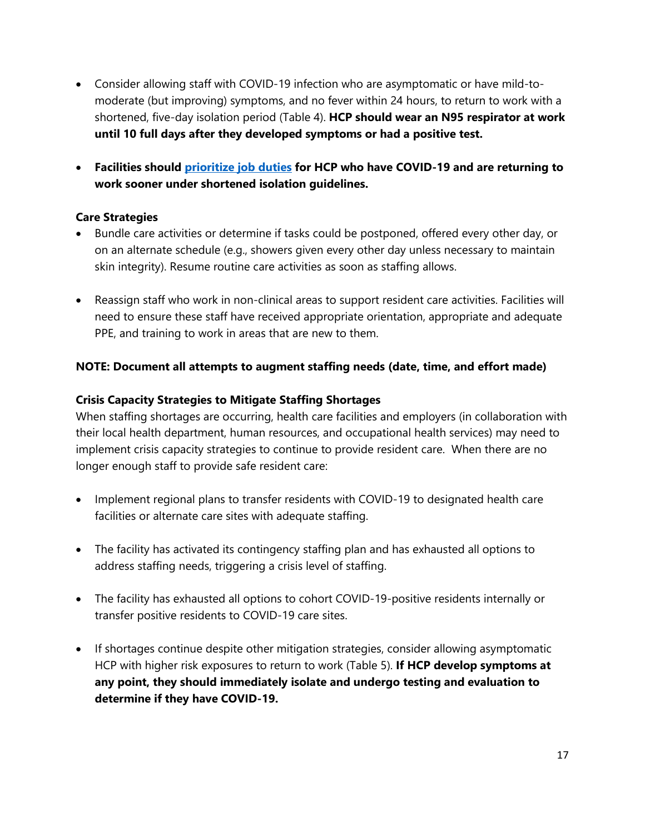- Consider allowing staff with COVID-19 infection who are asymptomatic or have mild-tomoderate (but improving) symptoms, and no fever within 24 hours, to return to work with a shortened, five-day isolation period (Table 4). **HCP should wear an N95 respirator at work until 10 full days after they developed symptoms or had a positive test.**
- **Facilities should [prioritize job duties](https://www.cdc.gov/coronavirus/2019-ncov/hcp/mitigating-staff-shortages.html) for HCP who have COVID-19 and are returning to work sooner under shortened isolation guidelines.**

## **Care Strategies**

- Bundle care activities or determine if tasks could be postponed, offered every other day, or on an alternate schedule (e.g., showers given every other day unless necessary to maintain skin integrity). Resume routine care activities as soon as staffing allows.
- Reassign staff who work in non-clinical areas to support resident care activities. Facilities will need to ensure these staff have received appropriate orientation, appropriate and adequate PPE, and training to work in areas that are new to them.

## **NOTE: Document all attempts to augment staffing needs (date, time, and effort made)**

## **Crisis Capacity Strategies to Mitigate Staffing Shortages**

When staffing shortages are occurring, health care facilities and employers (in collaboration with their local health department, human resources, and occupational health services) may need to implement crisis capacity strategies to continue to provide resident care. When there are no longer enough staff to provide safe resident care:

- Implement regional plans to transfer residents with COVID-19 to designated health care facilities or alternate care sites with adequate staffing.
- The facility has activated its contingency staffing plan and has exhausted all options to address staffing needs, triggering a crisis level of staffing.
- The facility has exhausted all options to cohort COVID-19-positive residents internally or transfer positive residents to COVID-19 care sites.
- If shortages continue despite other mitigation strategies, consider allowing asymptomatic HCP with higher risk exposures to return to work (Table 5). **If HCP develop symptoms at any point, they should immediately isolate and undergo testing and evaluation to determine if they have COVID-19.**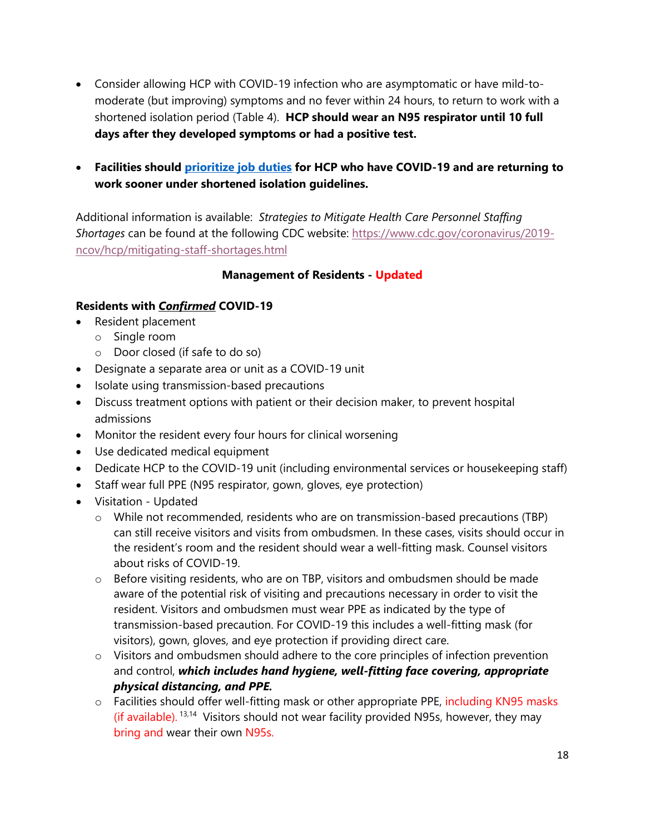- Consider allowing HCP with COVID-19 infection who are asymptomatic or have mild-tomoderate (but improving) symptoms and no fever within 24 hours, to return to work with a shortened isolation period (Table 4). **HCP should wear an N95 respirator until 10 full days after they developed symptoms or had a positive test.**
- **Facilities should [prioritize job duties](https://www.cdc.gov/coronavirus/2019-ncov/hcp/mitigating-staff-shortages.html) for HCP who have COVID-19 and are returning to work sooner under shortened isolation guidelines.**

Additional information is available: *Strategies to Mitigate Health Care Personnel Staffing Shortages* can be found at the following CDC website: [https://www.cdc.gov/coronavirus/2019](https://www.cdc.gov/coronavirus/2019-ncov/hcp/mitigating-staff-shortages.html) [ncov/hcp/mitigating-staff-shortages.html](https://www.cdc.gov/coronavirus/2019-ncov/hcp/mitigating-staff-shortages.html)

## **Management of Residents - Updated**

## **Residents with** *Confirmed* **COVID-19**

- Resident placement
	- o Single room
	- o Door closed (if safe to do so)
- Designate a separate area or unit as a COVID-19 unit
- Isolate using transmission-based precautions
- Discuss treatment options with patient or their decision maker, to prevent hospital admissions
- Monitor the resident every four hours for clinical worsening
- Use dedicated medical equipment
- Dedicate HCP to the COVID-19 unit (including environmental services or housekeeping staff)
- Staff wear full PPE (N95 respirator, gown, gloves, eye protection)
- Visitation Updated
	- $\circ$  While not recommended, residents who are on transmission-based precautions (TBP) can still receive visitors and visits from ombudsmen. In these cases, visits should occur in the resident's room and the resident should wear a well-fitting mask. Counsel visitors about risks of COVID-19.
	- $\circ$  Before visiting residents, who are on TBP, visitors and ombudsmen should be made aware of the potential risk of visiting and precautions necessary in order to visit the resident. Visitors and ombudsmen must wear PPE as indicated by the type of transmission-based precaution. For COVID-19 this includes a well-fitting mask (for visitors), gown, gloves, and eye protection if providing direct care.
	- $\circ$  Visitors and ombudsmen should adhere to the core principles of infection prevention and control, *which includes hand hygiene, well-fitting face covering, appropriate physical distancing, and PPE.*
	- o Facilities should offer well-fitting mask or other appropriate PPE, including KN95 masks (if available). <sup>13,14</sup> Visitors should not wear facility provided N95s, however, they may bring and wear their own N95s.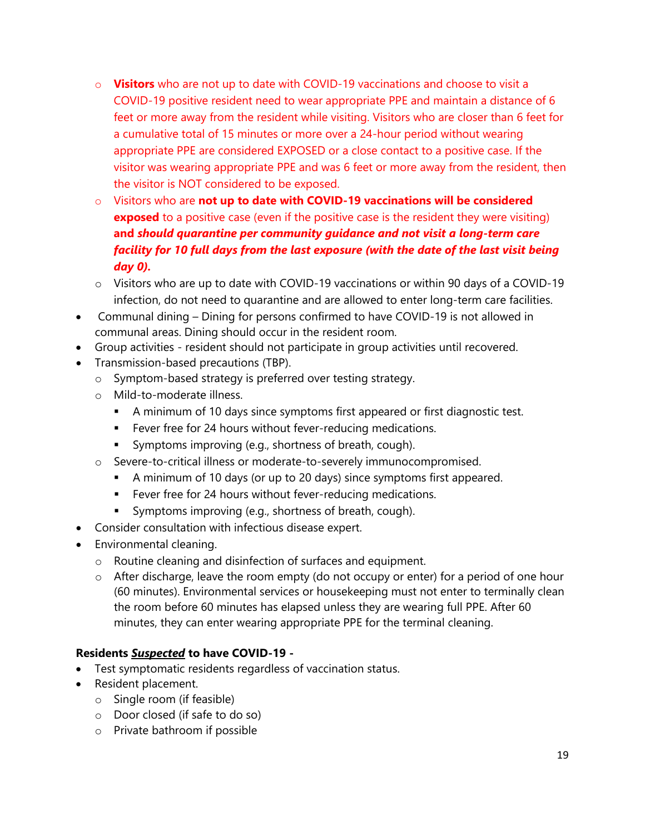- o **Visitors** who are not up to date with COVID-19 vaccinations and choose to visit a COVID-19 positive resident need to wear appropriate PPE and maintain a distance of 6 feet or more away from the resident while visiting. Visitors who are closer than 6 feet for a cumulative total of 15 minutes or more over a 24-hour period without wearing appropriate PPE are considered EXPOSED or a close contact to a positive case. If the visitor was wearing appropriate PPE and was 6 feet or more away from the resident, then the visitor is NOT considered to be exposed.
- o Visitors who are **not up to date with COVID-19 vaccinations will be considered exposed** to a positive case (even if the positive case is the resident they were visiting) **and** *should quarantine per community guidance and not visit a long-term care facility for 10 full days from the last exposure (with the date of the last visit being day 0).*
- $\circ$  Visitors who are up to date with COVID-19 vaccinations or within 90 days of a COVID-19 infection, do not need to quarantine and are allowed to enter long-term care facilities.
- Communal dining Dining for persons confirmed to have COVID-19 is not allowed in communal areas. Dining should occur in the resident room.
- Group activities resident should not participate in group activities until recovered.
- Transmission-based precautions (TBP).
	- o Symptom-based strategy is preferred over testing strategy.
	- o Mild-to-moderate illness.
		- A minimum of 10 days since symptoms first appeared or first diagnostic test.
		- **Fever free for 24 hours without fever-reducing medications.**
		- **Symptoms improving (e.g., shortness of breath, cough).**
	- o Severe-to-critical illness or moderate-to-severely immunocompromised.
		- A minimum of 10 days (or up to 20 days) since symptoms first appeared.
		- **Fever free for 24 hours without fever-reducing medications.**
		- **Symptoms improving (e.g., shortness of breath, cough).**
- Consider consultation with infectious disease expert.
- Environmental cleaning.
	- o Routine cleaning and disinfection of surfaces and equipment.
	- $\circ$  After discharge, leave the room empty (do not occupy or enter) for a period of one hour (60 minutes). Environmental services or housekeeping must not enter to terminally clean the room before 60 minutes has elapsed unless they are wearing full PPE. After 60 minutes, they can enter wearing appropriate PPE for the terminal cleaning.

## **Residents** *Suspected* **to have COVID-19 -**

- Test symptomatic residents regardless of vaccination status.
- Resident placement.
	- o Single room (if feasible)
	- o Door closed (if safe to do so)
	- o Private bathroom if possible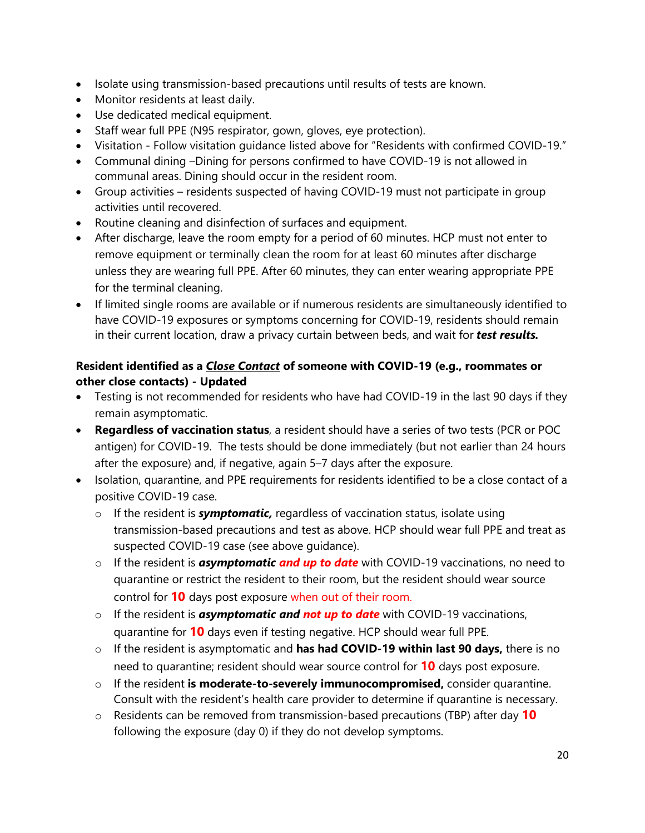- Isolate using transmission-based precautions until results of tests are known.
- Monitor residents at least daily.
- Use dedicated medical equipment.
- Staff wear full PPE (N95 respirator, gown, gloves, eye protection).
- Visitation Follow visitation guidance listed above for "Residents with confirmed COVID-19."
- Communal dining –Dining for persons confirmed to have COVID-19 is not allowed in communal areas. Dining should occur in the resident room.
- Group activities residents suspected of having COVID-19 must not participate in group activities until recovered.
- Routine cleaning and disinfection of surfaces and equipment.
- After discharge, leave the room empty for a period of 60 minutes. HCP must not enter to remove equipment or terminally clean the room for at least 60 minutes after discharge unless they are wearing full PPE. After 60 minutes, they can enter wearing appropriate PPE for the terminal cleaning.
- If limited single rooms are available or if numerous residents are simultaneously identified to have COVID-19 exposures or symptoms concerning for COVID-19, residents should remain in their current location, draw a privacy curtain between beds, and wait for *test results.*

## **Resident identified as a** *Close Contact* **of someone with COVID-19 (e.g., roommates or other close contacts) - Updated**

- Testing is not recommended for residents who have had COVID-19 in the last 90 days if they remain asymptomatic.
- **Regardless of vaccination status**, a resident should have a series of two tests (PCR or POC antigen) for COVID-19. The tests should be done immediately (but not earlier than 24 hours after the exposure) and, if negative, again 5–7 days after the exposure.
- Isolation, quarantine, and PPE requirements for residents identified to be a close contact of a positive COVID-19 case.
	- o If the resident is *symptomatic,* regardless of vaccination status, isolate using transmission-based precautions and test as above. HCP should wear full PPE and treat as suspected COVID-19 case (see above guidance).
	- o If the resident is *asymptomatic and up to date* with COVID-19 vaccinations, no need to quarantine or restrict the resident to their room, but the resident should wear source control for **10** days post exposure when out of their room.
	- o If the resident is *asymptomatic and not up to date* with COVID-19 vaccinations, quarantine for **10** days even if testing negative. HCP should wear full PPE.
	- o If the resident is asymptomatic and **has had COVID-19 within last 90 days,** there is no need to quarantine; resident should wear source control for **10** days post exposure.
	- o If the resident **is moderate-to-severely immunocompromised,** consider quarantine. Consult with the resident's health care provider to determine if quarantine is necessary.
	- o Residents can be removed from transmission-based precautions (TBP) after day **10**  following the exposure (day 0) if they do not develop symptoms.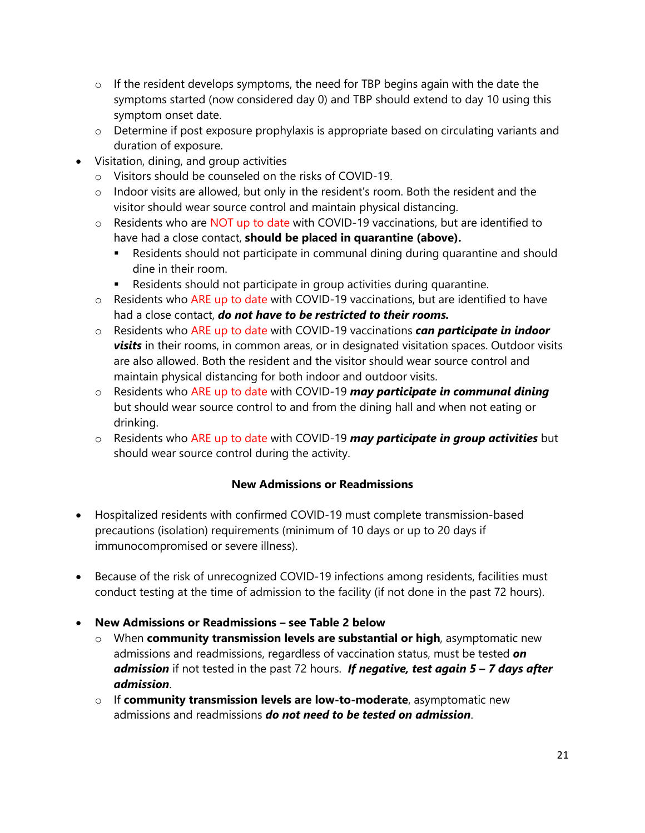- $\circ$  If the resident develops symptoms, the need for TBP begins again with the date the symptoms started (now considered day 0) and TBP should extend to day 10 using this symptom onset date.
- o Determine if post exposure prophylaxis is appropriate based on circulating variants and duration of exposure.
- Visitation, dining, and group activities
	- o Visitors should be counseled on the risks of COVID-19.
	- $\circ$  Indoor visits are allowed, but only in the resident's room. Both the resident and the visitor should wear source control and maintain physical distancing.
	- $\circ$  Residents who are NOT up to date with COVID-19 vaccinations, but are identified to have had a close contact, **should be placed in quarantine (above).**
		- Residents should not participate in communal dining during quarantine and should dine in their room.
		- Residents should not participate in group activities during quarantine.
	- o Residents who ARE up to date with COVID-19 vaccinations, but are identified to have had a close contact, *do not have to be restricted to their rooms.*
	- o Residents who ARE up to date with COVID-19 vaccinations *can participate in indoor visits* in their rooms, in common areas, or in designated visitation spaces. Outdoor visits are also allowed. Both the resident and the visitor should wear source control and maintain physical distancing for both indoor and outdoor visits.
	- o Residents who ARE up to date with COVID-19 *may participate in communal dining* but should wear source control to and from the dining hall and when not eating or drinking.
	- o Residents who ARE up to date with COVID-19 *may participate in group activities* but should wear source control during the activity.

## **New Admissions or Readmissions**

- Hospitalized residents with confirmed COVID-19 must complete transmission-based precautions (isolation) requirements (minimum of 10 days or up to 20 days if immunocompromised or severe illness).
- Because of the risk of unrecognized COVID-19 infections among residents, facilities must conduct testing at the time of admission to the facility (if not done in the past 72 hours).
- **New Admissions or Readmissions – see Table 2 below**
	- o When **community transmission levels are substantial or high**, asymptomatic new admissions and readmissions, regardless of vaccination status, must be tested *on admission* if not tested in the past 72 hours. *If negative, test again 5 – 7 days after admission*.
	- o If **community transmission levels are low-to-moderate**, asymptomatic new admissions and readmissions *do not need to be tested on admission*.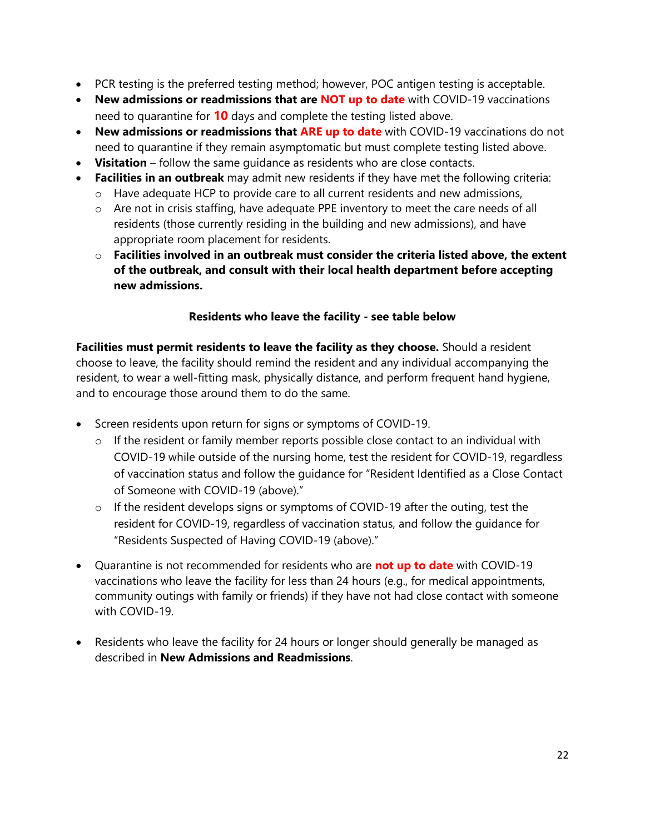- PCR testing is the preferred testing method; however, POC antigen testing is acceptable.
- **New admissions or readmissions that are NOT up to date** with COVID-19 vaccinations need to quarantine for **10** days and complete the testing listed above.
- **New admissions or readmissions that ARE up to date** with COVID-19 vaccinations do not need to quarantine if they remain asymptomatic but must complete testing listed above.
- **Visitation** follow the same guidance as residents who are close contacts.
- **Facilities in an outbreak** may admit new residents if they have met the following criteria:
	- o Have adequate HCP to provide care to all current residents and new admissions,
	- o Are not in crisis staffing, have adequate PPE inventory to meet the care needs of all residents (those currently residing in the building and new admissions), and have appropriate room placement for residents.
	- o **Facilities involved in an outbreak must consider the criteria listed above, the extent of the outbreak, and consult with their local health department before accepting new admissions.**

## **Residents who leave the facility - see table below**

**Facilities must permit residents to leave the facility as they choose.** Should a resident choose to leave, the facility should remind the resident and any individual accompanying the resident, to wear a well-fitting mask, physically distance, and perform frequent hand hygiene, and to encourage those around them to do the same.

- Screen residents upon return for signs or symptoms of COVID-19.
	- o If the resident or family member reports possible close contact to an individual with COVID-19 while outside of the nursing home, test the resident for COVID-19, regardless of vaccination status and follow the guidance for "Resident Identified as a Close Contact of Someone with COVID-19 (above)."
	- o If the resident develops signs or symptoms of COVID-19 after the outing, test the resident for COVID-19, regardless of vaccination status, and follow the guidance for "Residents Suspected of Having COVID-19 (above)."
- Quarantine is not recommended for residents who are **not up to date** with COVID-19 vaccinations who leave the facility for less than 24 hours (e.g., for medical appointments, community outings with family or friends) if they have not had close contact with someone with COVID-19.
- Residents who leave the facility for 24 hours or longer should generally be managed as described in **New Admissions and Readmissions**.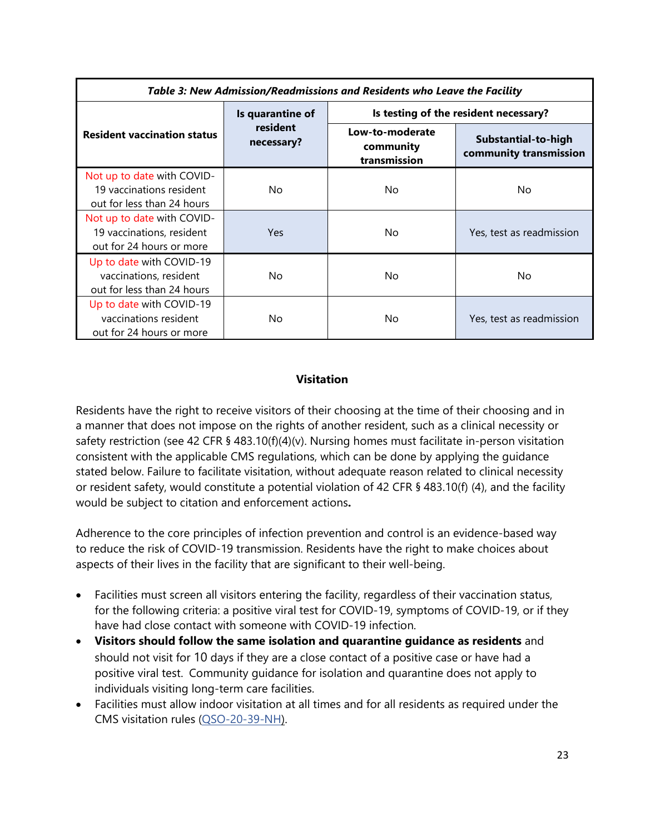| Table 3: New Admission/Readmissions and Residents who Leave the Facility |                        |                                              |                                               |  |  |
|--------------------------------------------------------------------------|------------------------|----------------------------------------------|-----------------------------------------------|--|--|
|                                                                          | Is quarantine of       | Is testing of the resident necessary?        |                                               |  |  |
| <b>Resident vaccination status</b>                                       | resident<br>necessary? | Low-to-moderate<br>community<br>transmission | Substantial-to-high<br>community transmission |  |  |
| Not up to date with COVID-                                               |                        |                                              |                                               |  |  |
| 19 vaccinations resident                                                 | No                     | No.                                          | No.                                           |  |  |
| out for less than 24 hours                                               |                        |                                              |                                               |  |  |
| Not up to date with COVID-                                               |                        |                                              |                                               |  |  |
| 19 vaccinations, resident                                                | Yes.                   | No.                                          | Yes, test as readmission                      |  |  |
| out for 24 hours or more                                                 |                        |                                              |                                               |  |  |
| Up to date with COVID-19                                                 |                        |                                              |                                               |  |  |
| vaccinations, resident                                                   | No                     | No.                                          | No.                                           |  |  |
| out for less than 24 hours                                               |                        |                                              |                                               |  |  |
| Up to date with COVID-19                                                 |                        |                                              |                                               |  |  |
| vaccinations resident                                                    | No                     | No.                                          | Yes, test as readmission                      |  |  |
| out for 24 hours or more                                                 |                        |                                              |                                               |  |  |

## **Visitation**

Residents have the right to receive visitors of their choosing at the time of their choosing and in a manner that does not impose on the rights of another resident, such as a clinical necessity or safety restriction (see 42 CFR § 483.10(f)(4)(v). Nursing homes must facilitate in-person visitation consistent with the applicable CMS regulations, which can be done by applying the guidance stated below. Failure to facilitate visitation, without adequate reason related to clinical necessity or resident safety, would constitute a potential violation of 42 CFR § 483.10(f) (4), and the facility would be subject to citation and enforcement actions**.**

Adherence to the core principles of infection prevention and control is an evidence-based way to reduce the risk of COVID-19 transmission. Residents have the right to make choices about aspects of their lives in the facility that are significant to their well-being.

- Facilities must screen all visitors entering the facility, regardless of their vaccination status, for the following criteria: a positive viral test for COVID-19, symptoms of COVID-19, or if they have had close contact with someone with COVID-19 infection.
- **Visitors should follow the same isolation and quarantine guidance as residents** and should not visit for 10 days if they are a close contact of a positive case or have had a positive viral test. Community guidance for isolation and quarantine does not apply to individuals visiting long-term care facilities.
- Facilities must allow indoor visitation at all times and for all residents as required under the CMS visitation rules [\(QSO-20-39-NH\)](https://www.cms.gov/files/document/qso-20-39-nh-revised.pdf).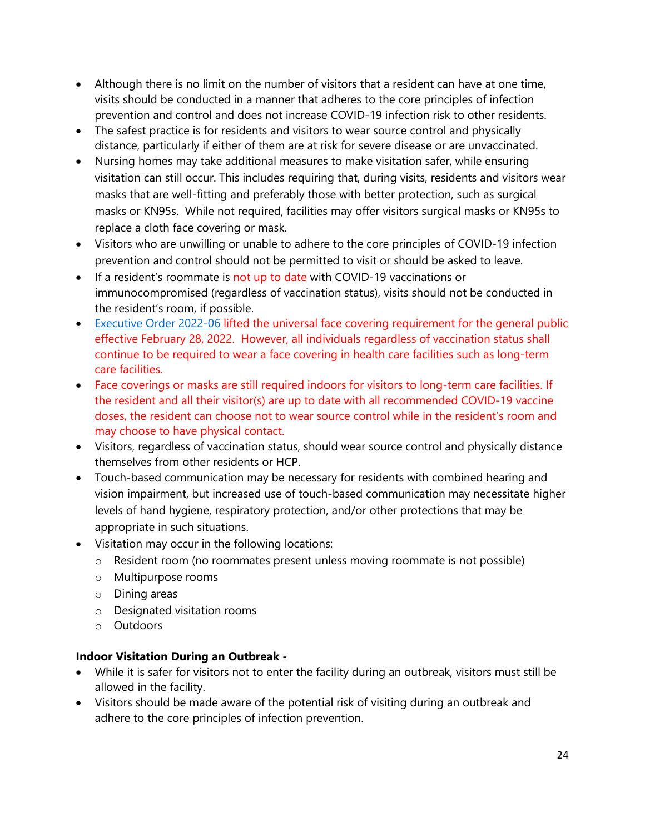- Although there is no limit on the number of visitors that a resident can have at one time, visits should be conducted in a manner that adheres to the core principles of infection prevention and control and does not increase COVID-19 infection risk to other residents.
- The safest practice is for residents and visitors to wear source control and physically distance, particularly if either of them are at risk for severe disease or are unvaccinated.
- Nursing homes may take additional measures to make visitation safer, while ensuring visitation can still occur. This includes requiring that, during visits, residents and visitors wear masks that are well-fitting and preferably those with better protection, such as surgical masks or KN95s. While not required, facilities may offer visitors surgical masks or KN95s to replace a cloth face covering or mask.
- Visitors who are unwilling or unable to adhere to the core principles of COVID-19 infection prevention and control should not be permitted to visit or should be asked to leave.
- If a resident's roommate is not up to date with COVID-19 vaccinations or immunocompromised (regardless of vaccination status), visits should not be conducted in the resident's room, if possible.
- [Executive Order 2022-06](https://www.illinois.gov/government/executive-orders/executive-order.executive-order-number-06.2022.html) lifted the universal face covering requirement for the general public effective February 28, 2022. However, all individuals regardless of vaccination status shall continue to be required to wear a face covering in health care facilities such as long-term care facilities.
- Face coverings or masks are still required indoors for visitors to long-term care facilities. If the resident and all their visitor(s) are up to date with all recommended COVID-19 vaccine doses, the resident can choose not to wear source control while in the resident's room and may choose to have physical contact.
- Visitors, regardless of vaccination status, should wear source control and physically distance themselves from other residents or HCP.
- Touch-based communication may be necessary for residents with combined hearing and vision impairment, but increased use of touch-based communication may necessitate higher levels of hand hygiene, respiratory protection, and/or other protections that may be appropriate in such situations.
- Visitation may occur in the following locations:
	- o Resident room (no roommates present unless moving roommate is not possible)
	- o Multipurpose rooms
	- o Dining areas
	- o Designated visitation rooms
	- o Outdoors

## **Indoor Visitation During an Outbreak -**

- While it is safer for visitors not to enter the facility during an outbreak, visitors must still be allowed in the facility.
- Visitors should be made aware of the potential risk of visiting during an outbreak and adhere to the core principles of infection prevention.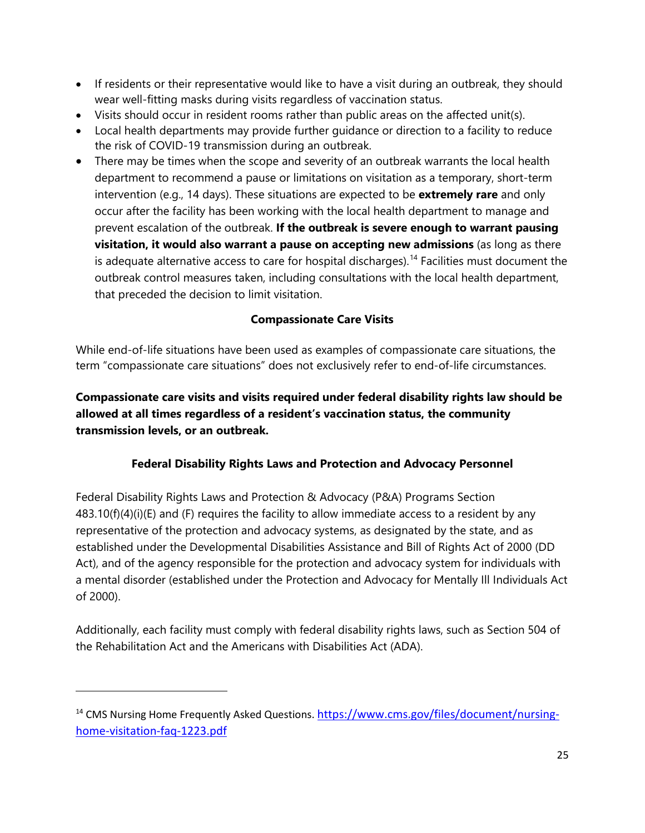- If residents or their representative would like to have a visit during an outbreak, they should wear well-fitting masks during visits regardless of vaccination status.
- Visits should occur in resident rooms rather than public areas on the affected unit(s).
- Local health departments may provide further guidance or direction to a facility to reduce the risk of COVID-19 transmission during an outbreak.
- There may be times when the scope and severity of an outbreak warrants the local health department to recommend a pause or limitations on visitation as a temporary, short-term intervention (e.g., 14 days). These situations are expected to be **extremely rare** and only occur after the facility has been working with the local health department to manage and prevent escalation of the outbreak. **If the outbreak is severe enough to warrant pausing visitation, it would also warrant a pause on accepting new admissions** (as long as there is adequate alternative access to care for hospital discharges).<sup>[14](#page-24-0)</sup> Facilities must document the outbreak control measures taken, including consultations with the local health department, that preceded the decision to limit visitation.

## **Compassionate Care Visits**

While end-of-life situations have been used as examples of compassionate care situations, the term "compassionate care situations" does not exclusively refer to end-of-life circumstances.

**Compassionate care visits and visits required under federal disability rights law should be allowed at all times regardless of a resident's vaccination status, the community transmission levels, or an outbreak.**

## **Federal Disability Rights Laws and Protection and Advocacy Personnel**

Federal Disability Rights Laws and Protection & Advocacy (P&A) Programs Section  $483.10(f)(4)(i)(E)$  and (F) requires the facility to allow immediate access to a resident by any representative of the protection and advocacy systems, as designated by the state, and as established under the Developmental Disabilities Assistance and Bill of Rights Act of 2000 (DD Act), and of the agency responsible for the protection and advocacy system for individuals with a mental disorder (established under the Protection and Advocacy for Mentally Ill Individuals Act of 2000).

Additionally, each facility must comply with federal disability rights laws, such as Section 504 of the Rehabilitation Act and the Americans with Disabilities Act (ADA).

<span id="page-24-0"></span><sup>&</sup>lt;sup>14</sup> CMS Nursing Home Frequently Asked Questions. [https://www.cms.gov/files/document/nursing](https://www.cms.gov/files/document/nursing-home-visitation-faq-1223.pdf)[home-visitation-faq-1223.pdf](https://www.cms.gov/files/document/nursing-home-visitation-faq-1223.pdf)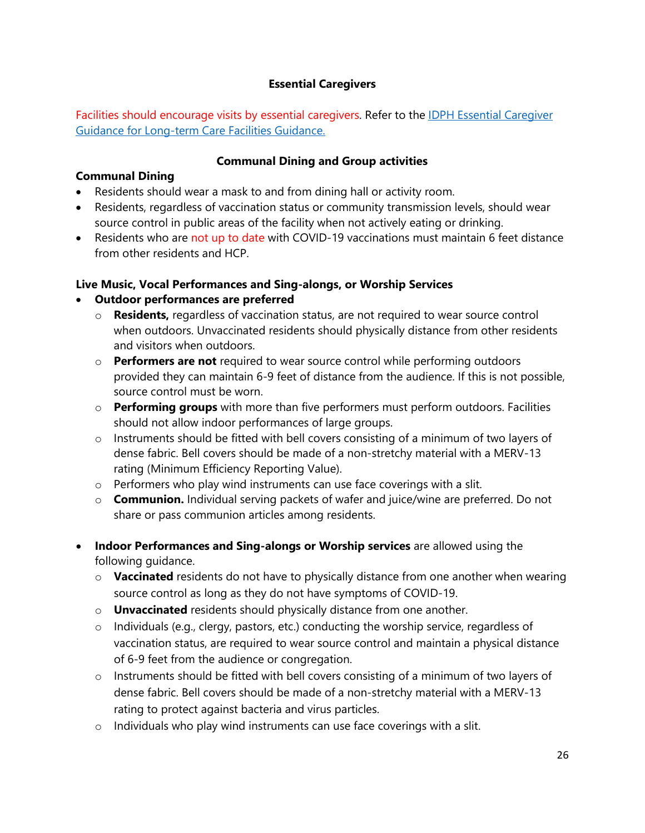## **Essential Caregivers**

Facilities should encourage visits by essential caregivers. Refer to the **IDPH Essential Caregiver** [Guidance](https://dph.illinois.gov/covid19/community-guidance/long-term-care/essential-caregiver-guidance.html) for Long-term Care Facilities Guidance.

#### **Communal Dining and Group activities**

#### **Communal Dining**

- Residents should wear a mask to and from dining hall or activity room.
- Residents, regardless of vaccination status or community transmission levels, should wear source control in public areas of the facility when not actively eating or drinking.
- Residents who are not up to date with COVID-19 vaccinations must maintain 6 feet distance from other residents and HCP.

## **Live Music, Vocal Performances and Sing-alongs, or Worship Services**

## • **Outdoor performances are preferred**

- o **Residents,** regardless of vaccination status, are not required to wear source control when outdoors. Unvaccinated residents should physically distance from other residents and visitors when outdoors.
- o **Performers are not** required to wear source control while performing outdoors provided they can maintain 6-9 feet of distance from the audience. If this is not possible, source control must be worn.
- o **Performing groups** with more than five performers must perform outdoors. Facilities should not allow indoor performances of large groups.
- o Instruments should be fitted with bell covers consisting of a minimum of two layers of dense fabric. Bell covers should be made of a non-stretchy material with a MERV-13 rating (Minimum Efficiency Reporting Value).
- o Performers who play wind instruments can use face coverings with a slit.
- o **Communion.** Individual serving packets of wafer and juice/wine are preferred. Do not share or pass communion articles among residents.
- **Indoor Performances and Sing-alongs or Worship services** are allowed using the following guidance.
	- o **Vaccinated** residents do not have to physically distance from one another when wearing source control as long as they do not have symptoms of COVID-19.
	- o **Unvaccinated** residents should physically distance from one another.
	- o Individuals (e.g., clergy, pastors, etc.) conducting the worship service, regardless of vaccination status, are required to wear source control and maintain a physical distance of 6-9 feet from the audience or congregation.
	- o Instruments should be fitted with bell covers consisting of a minimum of two layers of dense fabric. Bell covers should be made of a non-stretchy material with a MERV-13 rating to protect against bacteria and virus particles.
	- o Individuals who play wind instruments can use face coverings with a slit.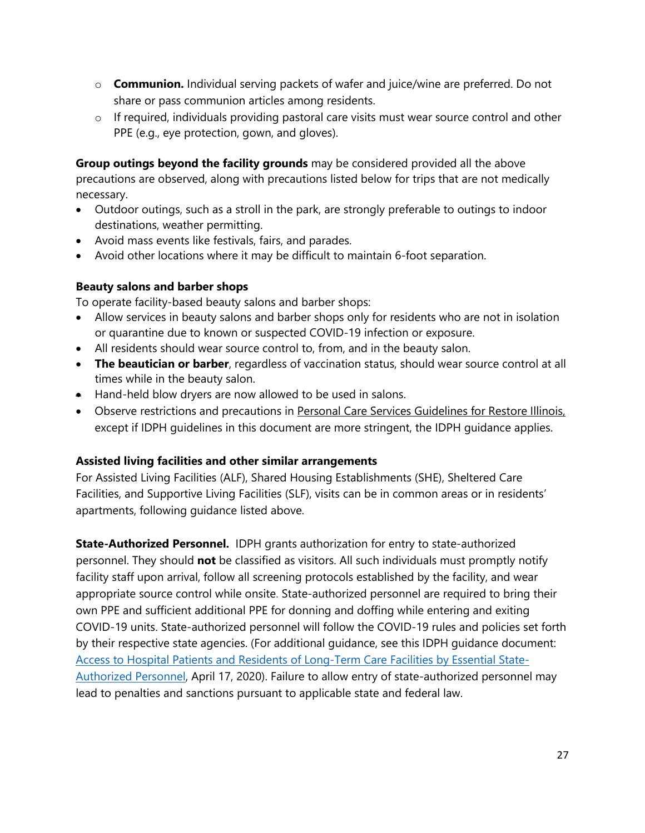- o **Communion.** Individual serving packets of wafer and juice/wine are preferred. Do not share or pass communion articles among residents.
- o If required, individuals providing pastoral care visits must wear source control and other PPE (e.g., eye protection, gown, and gloves).

**Group outings beyond the facility grounds** may be considered provided all the above precautions are observed, along with precautions listed below for trips that are not medically necessary.

- Outdoor outings, such as a stroll in the park, are strongly preferable to outings to indoor destinations, weather permitting.
- Avoid mass events like festivals, fairs, and parades.
- Avoid other locations where it may be difficult to maintain 6-foot separation.

## **Beauty salons and barber shops**

To operate facility-based beauty salons and barber shops:

- Allow services in beauty salons and barber shops only for residents who are not in isolation or quarantine due to known or suspected COVID-19 infection or exposure.
- All residents should wear source control to, from, and in the beauty salon.
- **The beautician or barber**, regardless of vaccination status, should wear source control at all times while in the beauty salon.
- Hand-held blow dryers are now allowed to be used in salons.
- Observe restrictions and precautions in [Personal Care Services Guidelines for Restore Illinois,](https://www2.illinois.gov/dceo/covid-19/restore-illinois/Documents/personalcareservices.pdf) except if IDPH guidelines in this document are more stringent, the IDPH guidance applies.

## **Assisted living facilities and other similar arrangements**

For Assisted Living Facilities (ALF), Shared Housing Establishments (SHE), Sheltered Care Facilities, and Supportive Living Facilities (SLF), visits can be in common areas or in residents' apartments, following guidance listed above.

**State-Authorized Personnel.** IDPH grants authorization for entry to state-authorized personnel. They should **not** be classified as visitors. All such individuals must promptly notify facility staff upon arrival, follow all screening protocols established by the facility, and wear appropriate source control while onsite. State-authorized personnel are required to bring their own PPE and sufficient additional PPE for donning and doffing while entering and exiting COVID-19 units. State-authorized personnel will follow the COVID-19 rules and policies set forth by their respective state agencies. (For additional guidance, see this IDPH guidance document: [Access to Hospital Patients and Residents of Long-Term Care Facilities by Essential State-](https://www.iml.org/file.cfm?key=18712)[Authorized Personnel,](https://www.iml.org/file.cfm?key=18712) April 17, 2020). Failure to allow entry of state-authorized personnel may lead to penalties and sanctions pursuant to applicable state and federal law.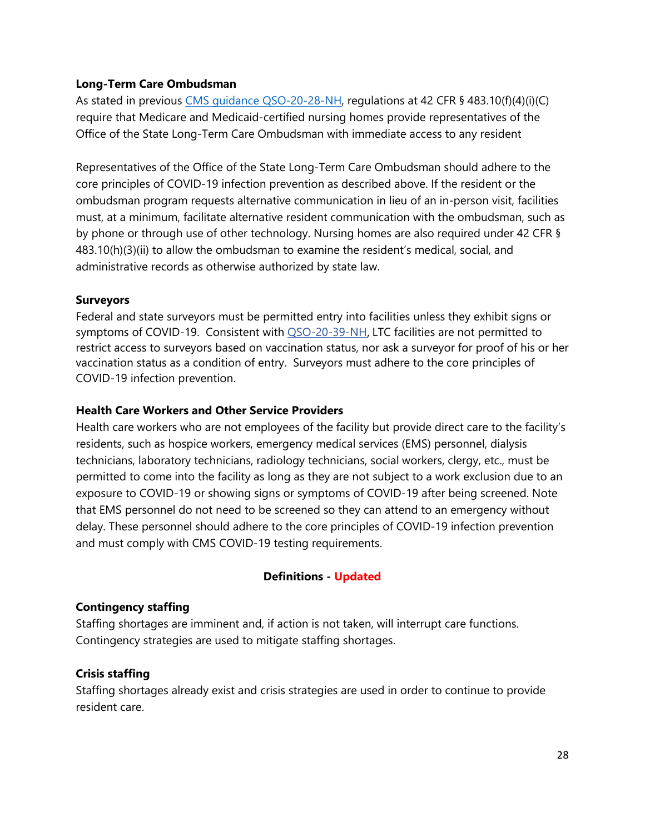#### **Long-Term Care Ombudsman**

As stated in previous [CMS guidance QSO-20-28-NH,](https://www.cms.gov/files/document/qso-20-28-nh-revised.pdf) regulations at 42 CFR § 483.10(f)(4)(i)(C) require that Medicare and Medicaid-certified nursing homes provide representatives of the Office of the State Long-Term Care Ombudsman with immediate access to any resident

Representatives of the Office of the State Long-Term Care Ombudsman should adhere to the core principles of COVID-19 infection prevention as described above. If the resident or the ombudsman program requests alternative communication in lieu of an in-person visit, facilities must, at a minimum, facilitate alternative resident communication with the ombudsman, such as by phone or through use of other technology. Nursing homes are also required under 42 CFR § 483.10(h)(3)(ii) to allow the ombudsman to examine the resident's medical, social, and administrative records as otherwise authorized by state law.

#### **Surveyors**

Federal and state surveyors must be permitted entry into facilities unless they exhibit signs or symptoms of COVID-19. Consistent with [QSO-20-39-NH](https://www.cms.gov/files/document/qso-20-39-nh-revised.pdf), LTC facilities are not permitted to restrict access to surveyors based on vaccination status, nor ask a surveyor for proof of his or her vaccination status as a condition of entry. Surveyors must adhere to the core principles of COVID-19 infection prevention.

#### **Health Care Workers and Other Service Providers**

Health care workers who are not employees of the facility but provide direct care to the facility's residents, such as hospice workers, emergency medical services (EMS) personnel, dialysis technicians, laboratory technicians, radiology technicians, social workers, clergy, etc., must be permitted to come into the facility as long as they are not subject to a work exclusion due to an exposure to COVID-19 or showing signs or symptoms of COVID-19 after being screened. Note that EMS personnel do not need to be screened so they can attend to an emergency without delay. These personnel should adhere to the core principles of COVID-19 infection prevention and must comply with CMS COVID-19 testing requirements.

## **Definitions - Updated**

## **Contingency staffing**

Staffing shortages are imminent and, if action is not taken, will interrupt care functions. Contingency strategies are used to mitigate staffing shortages.

## **Crisis staffing**

Staffing shortages already exist and crisis strategies are used in order to continue to provide resident care.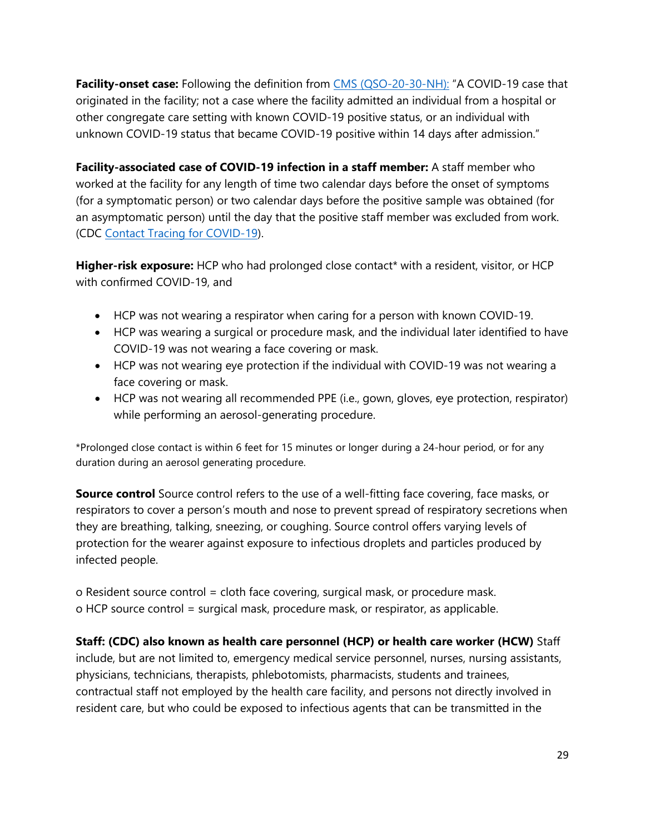Facility-onset case: Following the definition from [CMS \(QSO-20-30-NH\):](https://www.cms.gov/files/document/qso-20-30-nh.pdf) "A COVID-19 case that originated in the facility; not a case where the facility admitted an individual from a hospital or other congregate care setting with known COVID-19 positive status, or an individual with unknown COVID-19 status that became COVID-19 positive within 14 days after admission."

**Facility-associated case of COVID-19 infection in a staff member:** A staff member who worked at the facility for any length of time two calendar days before the onset of symptoms (for a symptomatic person) or two calendar days before the positive sample was obtained (for an asymptomatic person) until the day that the positive staff member was excluded from work. (CDC [Contact Tracing for COVID-19\)](https://www.cdc.gov/coronavirus/2019-ncov/php/contact-tracing/contact-tracing-plan/contact-tracing.html).

**Higher-risk exposure:** HCP who had prolonged close contact\* with a resident, visitor, or HCP with confirmed COVID-19, and

- HCP was not wearing a respirator when caring for a person with known COVID-19.
- HCP was wearing a surgical or procedure mask, and the individual later identified to have COVID-19 was not wearing a face covering or mask.
- HCP was not wearing eye protection if the individual with COVID-19 was not wearing a face covering or mask.
- HCP was not wearing all recommended PPE (i.e., gown, gloves, eye protection, respirator) while performing an aerosol-generating procedure.

\*Prolonged close contact is within 6 feet for 15 minutes or longer during a 24-hour period, or for any duration during an aerosol generating procedure.

**Source control** Source control refers to the use of a well-fitting face covering, face masks, or respirators to cover a person's mouth and nose to prevent spread of respiratory secretions when they are breathing, talking, sneezing, or coughing. Source control offers varying levels of protection for the wearer against exposure to infectious droplets and particles produced by infected people.

o Resident source control = cloth face covering, surgical mask, or procedure mask. o HCP source control = surgical mask, procedure mask, or respirator, as applicable.

**Staff: (CDC) also known as health care personnel (HCP) or health care worker (HCW)** Staff include, but are not limited to, emergency medical service personnel, nurses, nursing assistants, physicians, technicians, therapists, phlebotomists, pharmacists, students and trainees, contractual staff not employed by the health care facility, and persons not directly involved in resident care, but who could be exposed to infectious agents that can be transmitted in the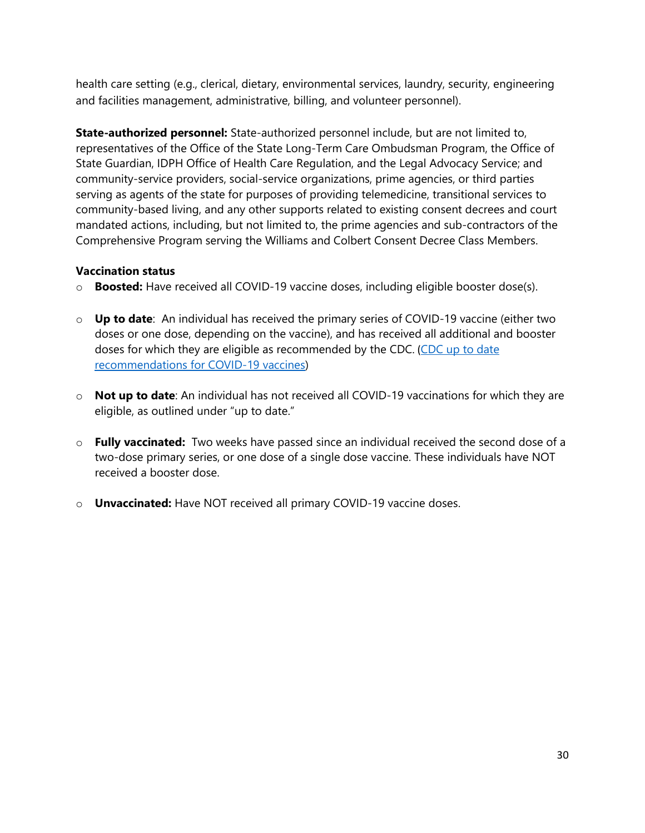health care setting (e.g., clerical, dietary, environmental services, laundry, security, engineering and facilities management, administrative, billing, and volunteer personnel).

**State-authorized personnel:** State-authorized personnel include, but are not limited to, representatives of the Office of the State Long-Term Care Ombudsman Program, the Office of State Guardian, IDPH Office of Health Care Regulation, and the Legal Advocacy Service; and community-service providers, social-service organizations, prime agencies, or third parties serving as agents of the state for purposes of providing telemedicine, transitional services to community-based living, and any other supports related to existing consent decrees and court mandated actions, including, but not limited to, the prime agencies and sub-contractors of the Comprehensive Program serving the Williams and Colbert Consent Decree Class Members.

#### **Vaccination status**

- o **Boosted:** Have received all COVID-19 vaccine doses, including eligible booster dose(s).
- o **Up to date**: An individual has received the primary series of COVID-19 vaccine (either two doses or one dose, depending on the vaccine), and has received all additional and booster doses for which they are eligible as recommended by the CDC. (CDC up to date [recommendations for COVID-19 vaccines\)](https://www.cdc.gov/coronavirus/2019-ncov/vaccines/stay-up-to-date.html)
- o **Not up to date**: An individual has not received all COVID-19 vaccinations for which they are eligible, as outlined under "up to date."
- o **Fully vaccinated:** Two weeks have passed since an individual received the second dose of a two-dose primary series, or one dose of a single dose vaccine. These individuals have NOT received a booster dose.
- o **Unvaccinated:** Have NOT received all primary COVID-19 vaccine doses.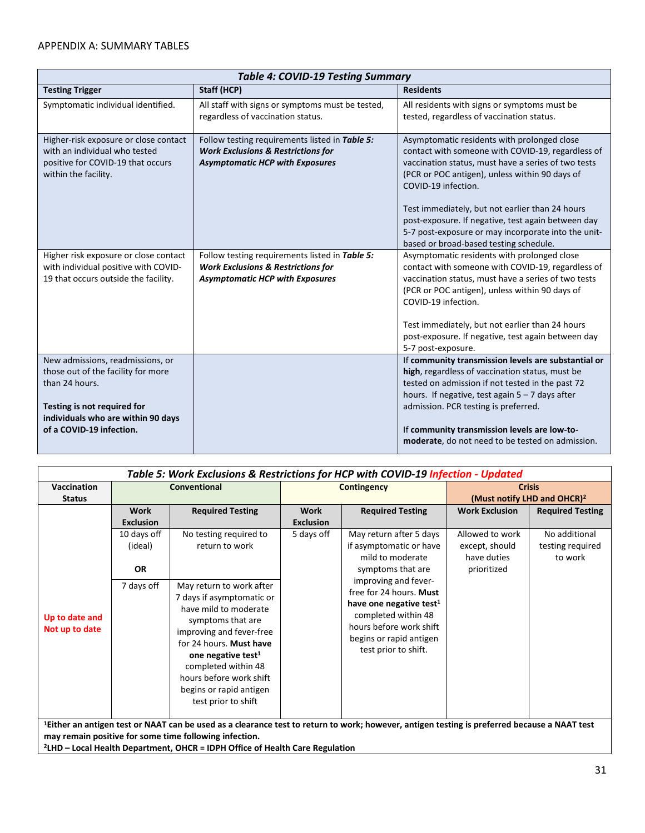#### APPENDIX A: SUMMARY TABLES

| <b>Table 4: COVID-19 Testing Summary</b>                                                                                                                      |                                                                                                                                           |                                                                                                                                                                                                                                                         |  |  |  |
|---------------------------------------------------------------------------------------------------------------------------------------------------------------|-------------------------------------------------------------------------------------------------------------------------------------------|---------------------------------------------------------------------------------------------------------------------------------------------------------------------------------------------------------------------------------------------------------|--|--|--|
| <b>Testing Trigger</b>                                                                                                                                        | Staff (HCP)                                                                                                                               | <b>Residents</b>                                                                                                                                                                                                                                        |  |  |  |
| Symptomatic individual identified.                                                                                                                            | All staff with signs or symptoms must be tested,<br>regardless of vaccination status.                                                     | All residents with signs or symptoms must be<br>tested, regardless of vaccination status.                                                                                                                                                               |  |  |  |
| Higher-risk exposure or close contact<br>with an individual who tested<br>positive for COVID-19 that occurs<br>within the facility.                           | Follow testing requirements listed in Table 5:<br><b>Work Exclusions &amp; Restrictions for</b><br><b>Asymptomatic HCP with Exposures</b> | Asymptomatic residents with prolonged close<br>contact with someone with COVID-19, regardless of<br>vaccination status, must have a series of two tests<br>(PCR or POC antigen), unless within 90 days of<br>COVID-19 infection.                        |  |  |  |
|                                                                                                                                                               |                                                                                                                                           | Test immediately, but not earlier than 24 hours<br>post-exposure. If negative, test again between day<br>5-7 post-exposure or may incorporate into the unit-<br>based or broad-based testing schedule.                                                  |  |  |  |
| Higher risk exposure or close contact<br>with individual positive with COVID-                                                                                 | Follow testing requirements listed in Table 5:<br><b>Work Exclusions &amp; Restrictions for</b>                                           | Asymptomatic residents with prolonged close<br>contact with someone with COVID-19, regardless of                                                                                                                                                        |  |  |  |
| 19 that occurs outside the facility.                                                                                                                          | <b>Asymptomatic HCP with Exposures</b>                                                                                                    | vaccination status, must have a series of two tests<br>(PCR or POC antigen), unless within 90 days of<br>COVID-19 infection.                                                                                                                            |  |  |  |
|                                                                                                                                                               |                                                                                                                                           | Test immediately, but not earlier than 24 hours<br>post-exposure. If negative, test again between day<br>5-7 post-exposure.                                                                                                                             |  |  |  |
| New admissions, readmissions, or<br>those out of the facility for more<br>than 24 hours.<br>Testing is not required for<br>individuals who are within 90 days |                                                                                                                                           | If community transmission levels are substantial or<br>high, regardless of vaccination status, must be<br>tested on admission if not tested in the past 72<br>hours. If negative, test again $5 - 7$ days after<br>admission. PCR testing is preferred. |  |  |  |
| of a COVID-19 infection.                                                                                                                                      |                                                                                                                                           | If community transmission levels are low-to-<br>moderate, do not need to be tested on admission.                                                                                                                                                        |  |  |  |

| Table 5: Work Exclusions & Restrictions for HCP with COVID-19 Infection - Updated                                                                                                                                                                                                                              |                                 |                                                                                                                                                                                                                                                                                                  |                                 |                                                                                                                                                                                                                  |                                                          |                                              |
|----------------------------------------------------------------------------------------------------------------------------------------------------------------------------------------------------------------------------------------------------------------------------------------------------------------|---------------------------------|--------------------------------------------------------------------------------------------------------------------------------------------------------------------------------------------------------------------------------------------------------------------------------------------------|---------------------------------|------------------------------------------------------------------------------------------------------------------------------------------------------------------------------------------------------------------|----------------------------------------------------------|----------------------------------------------|
| Vaccination<br><b>Status</b>                                                                                                                                                                                                                                                                                   |                                 | Conventional                                                                                                                                                                                                                                                                                     | <b>Contingency</b>              |                                                                                                                                                                                                                  | <b>Crisis</b><br>(Must notify LHD and OHCR) <sup>2</sup> |                                              |
|                                                                                                                                                                                                                                                                                                                | <b>Work</b><br><b>Exclusion</b> | <b>Required Testing</b>                                                                                                                                                                                                                                                                          | <b>Work</b><br><b>Exclusion</b> | <b>Required Testing</b>                                                                                                                                                                                          | <b>Work Exclusion</b>                                    | <b>Required Testing</b>                      |
| Up to date and<br>Not up to date                                                                                                                                                                                                                                                                               | 10 days off<br>(ideal)          | No testing required to<br>return to work                                                                                                                                                                                                                                                         | 5 days off                      | May return after 5 days<br>if asymptomatic or have<br>mild to moderate                                                                                                                                           | Allowed to work<br>except, should<br>have duties         | No additional<br>testing required<br>to work |
|                                                                                                                                                                                                                                                                                                                | <b>OR</b><br>7 days off         | May return to work after<br>7 days if asymptomatic or<br>have mild to moderate<br>symptoms that are<br>improving and fever-free<br>for 24 hours. Must have<br>one negative test <sup>1</sup><br>completed within 48<br>hours before work shift<br>begins or rapid antigen<br>test prior to shift |                                 | symptoms that are<br>improving and fever-<br>free for 24 hours. Must<br>have one negative test <sup>1</sup><br>completed within 48<br>hours before work shift<br>begins or rapid antigen<br>test prior to shift. | prioritized                                              |                                              |
| <sup>1</sup> Either an antigen test or NAAT can be used as a clearance test to return to work; however, antigen testing is preferred because a NAAT test<br>may remain positive for some time following infection.<br><sup>2</sup> LHD – Local Health Department, OHCR = IDPH Office of Health Care Regulation |                                 |                                                                                                                                                                                                                                                                                                  |                                 |                                                                                                                                                                                                                  |                                                          |                                              |